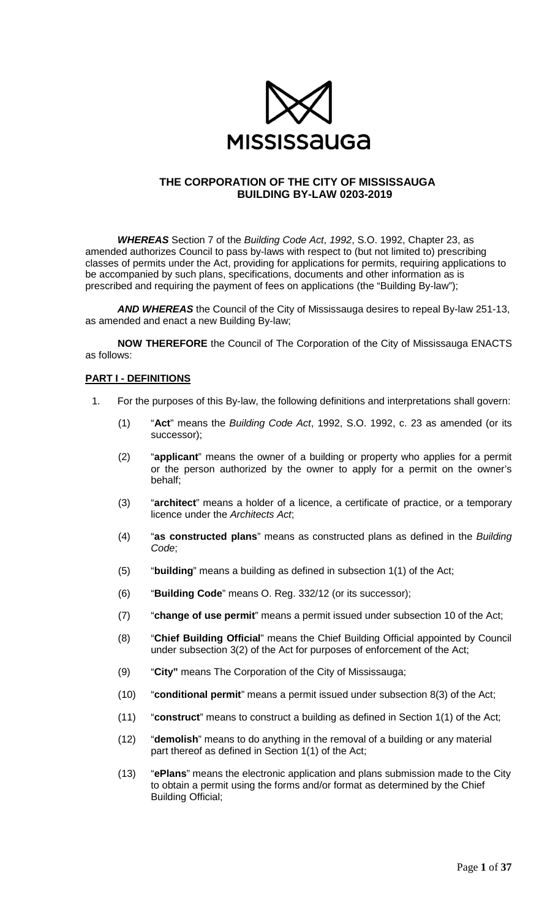

## **THE CORPORATION OF THE CITY OF MISSISSAUGA BUILDING BY-LAW 0203-2019**

*WHEREAS* Section 7 of the *Building Code Act*, *1992*, S.O. 1992, Chapter 23, as amended authorizes Council to pass by-laws with respect to (but not limited to) prescribing classes of permits under the Act, providing for applications for permits, requiring applications to be accompanied by such plans, specifications, documents and other information as is prescribed and requiring the payment of fees on applications (the "Building By-law");

*AND WHEREAS* the Council of the City of Mississauga desires to repeal By-law 251-13, as amended and enact a new Building By-law;

**NOW THEREFORE** the Council of The Corporation of the City of Mississauga ENACTS as follows:

## **PART I - DEFINITIONS**

- 1. For the purposes of this By-law, the following definitions and interpretations shall govern:
	- (1) "**Act**" means the *Building Code Act*, 1992, S.O. 1992, c. 23 as amended (or its successor);
	- (2) "**applicant**" means the owner of a building or property who applies for a permit or the person authorized by the owner to apply for a permit on the owner's behalf;
	- (3) "**architect**" means a holder of a licence, a certificate of practice, or a temporary licence under the *Architects Act*;
	- (4) "**as constructed plans**" means as constructed plans as defined in the *Building Code*;
	- (5) "**building**" means a building as defined in subsection 1(1) of the Act;
	- (6) "**Building Code**" means O. Reg. 332/12 (or its successor);
	- (7) "**change of use permit**" means a permit issued under subsection 10 of the Act;
	- (8) "**Chief Building Official**" means the Chief Building Official appointed by Council under subsection 3(2) of the Act for purposes of enforcement of the Act;
	- (9) "**City"** means The Corporation of the City of Mississauga;
	- (10) "**conditional permit**" means a permit issued under subsection 8(3) of the Act;
	- (11) "**construct**" means to construct a building as defined in Section 1(1) of the Act;
	- (12) "**demolish**" means to do anything in the removal of a building or any material part thereof as defined in Section 1(1) of the Act;
	- (13) "**ePlans**" means the electronic application and plans submission made to the City to obtain a permit using the forms and/or format as determined by the Chief Building Official;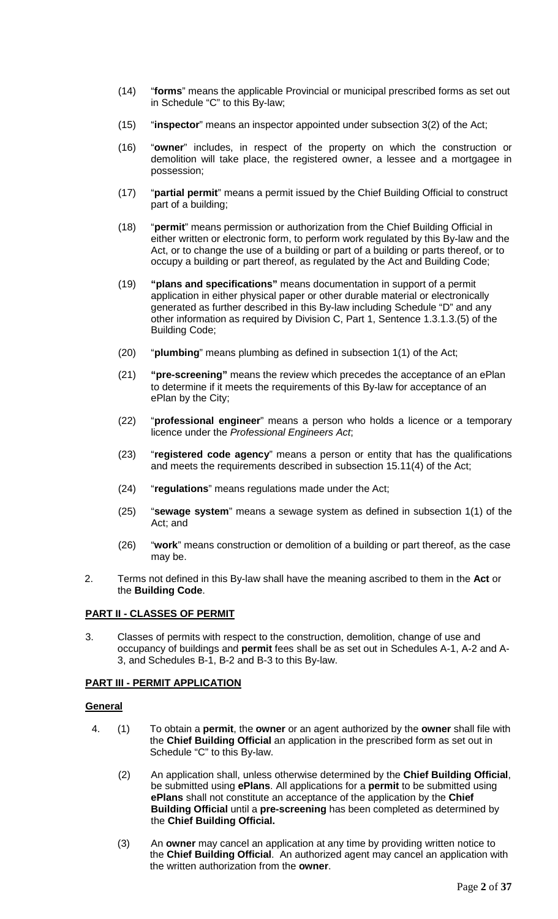- (14) "**forms**" means the applicable Provincial or municipal prescribed forms as set out in Schedule "C" to this By-law;
- (15) "**inspector**" means an inspector appointed under subsection 3(2) of the Act;
- (16) "**owner**" includes, in respect of the property on which the construction or demolition will take place, the registered owner, a lessee and a mortgagee in possession;
- (17) "**partial permit**" means a permit issued by the Chief Building Official to construct part of a building;
- (18) "**permit**" means permission or authorization from the Chief Building Official in either written or electronic form, to perform work regulated by this By-law and the Act, or to change the use of a building or part of a building or parts thereof, or to occupy a building or part thereof, as regulated by the Act and Building Code;
- (19) **"plans and specifications"** means documentation in support of a permit application in either physical paper or other durable material or electronically generated as further described in this By-law including Schedule "D" and any other information as required by Division C, Part 1, Sentence 1.3.1.3.(5) of the Building Code;
- (20) "**plumbing**" means plumbing as defined in subsection 1(1) of the Act;
- (21) **"pre-screening"** means the review which precedes the acceptance of an ePlan to determine if it meets the requirements of this By-law for acceptance of an ePlan by the City;
- (22) "**professional engineer**" means a person who holds a licence or a temporary licence under the *Professional Engineers Act*;
- (23) "**registered code agency**" means a person or entity that has the qualifications and meets the requirements described in subsection 15.11(4) of the Act;
- (24) "**regulations**" means regulations made under the Act;
- (25) "**sewage system**" means a sewage system as defined in subsection 1(1) of the Act; and
- (26) "**work**" means construction or demolition of a building or part thereof, as the case may be.
- 2. Terms not defined in this By-law shall have the meaning ascribed to them in the **Act** or the **Building Code**.

## **PART II - CLASSES OF PERMIT**

3. Classes of permits with respect to the construction, demolition, change of use and occupancy of buildings and **permit** fees shall be as set out in Schedules A-1, A-2 and A-3, and Schedules B-1, B-2 and B-3 to this By-law.

## **PART III - PERMIT APPLICATION**

## **General**

- 4. (1) To obtain a **permit**, the **owner** or an agent authorized by the **owner** shall file with the **Chief Building Official** an application in the prescribed form as set out in Schedule "C" to this By-law.
	- (2) An application shall, unless otherwise determined by the **Chief Building Official**, be submitted using **ePlans**. All applications for a **permit** to be submitted using **ePlans** shall not constitute an acceptance of the application by the **Chief Building Official** until a **pre-screening** has been completed as determined by the **Chief Building Official.**
	- (3) An **owner** may cancel an application at any time by providing written notice to the **Chief Building Official**. An authorized agent may cancel an application with the written authorization from the **owner**.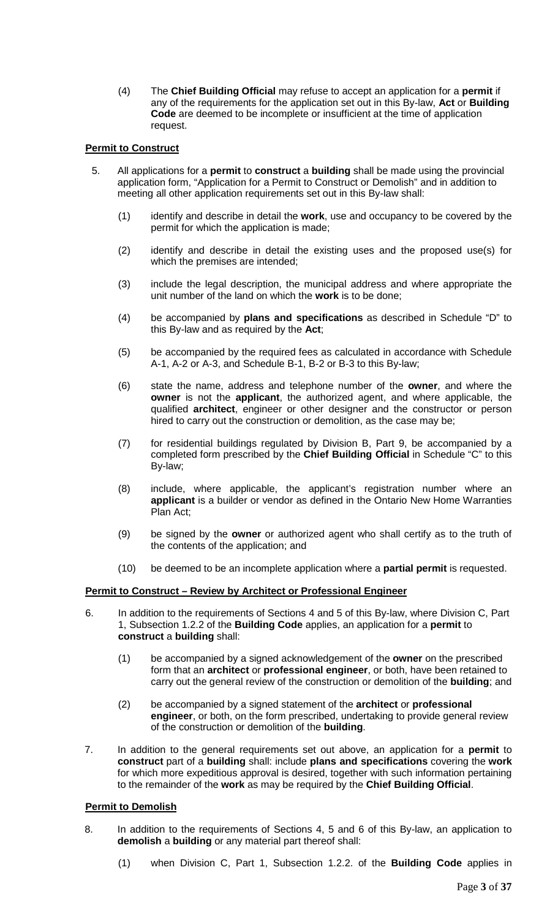(4) The **Chief Building Official** may refuse to accept an application for a **permit** if any of the requirements for the application set out in this By-law, **Act** or **Building Code** are deemed to be incomplete or insufficient at the time of application request.

## **Permit to Construct**

- 5. All applications for a **permit** to **construct** a **building** shall be made using the provincial application form, "Application for a Permit to Construct or Demolish" and in addition to meeting all other application requirements set out in this By-law shall:
	- (1) identify and describe in detail the **work**, use and occupancy to be covered by the permit for which the application is made;
	- (2) identify and describe in detail the existing uses and the proposed use(s) for which the premises are intended;
	- (3) include the legal description, the municipal address and where appropriate the unit number of the land on which the **work** is to be done;
	- (4) be accompanied by **plans and specifications** as described in Schedule "D" to this By-law and as required by the **Act**;
	- (5) be accompanied by the required fees as calculated in accordance with Schedule A-1, A-2 or A-3, and Schedule B-1, B-2 or B-3 to this By-law;
	- (6) state the name, address and telephone number of the **owner**, and where the **owner** is not the **applicant**, the authorized agent, and where applicable, the qualified **architect**, engineer or other designer and the constructor or person hired to carry out the construction or demolition, as the case may be;
	- (7) for residential buildings regulated by Division B, Part 9, be accompanied by a completed form prescribed by the **Chief Building Official** in Schedule "C" to this By-law;
	- (8) include, where applicable, the applicant's registration number where an **applicant** is a builder or vendor as defined in the Ontario New Home Warranties Plan Act;
	- (9) be signed by the **owner** or authorized agent who shall certify as to the truth of the contents of the application; and
	- (10) be deemed to be an incomplete application where a **partial permit** is requested.

## **Permit to Construct – Review by Architect or Professional Engineer**

- 6. In addition to the requirements of Sections 4 and 5 of this By-law, where Division C, Part 1, Subsection 1.2.2 of the **Building Code** applies, an application for a **permit** to **construct** a **building** shall:
	- (1) be accompanied by a signed acknowledgement of the **owner** on the prescribed form that an **architect** or **professional engineer**, or both, have been retained to carry out the general review of the construction or demolition of the **building**; and
	- (2) be accompanied by a signed statement of the **architect** or **professional engineer**, or both, on the form prescribed, undertaking to provide general review of the construction or demolition of the **building**.
- 7. In addition to the general requirements set out above, an application for a **permit** to **construct** part of a **building** shall: include **plans and specifications** covering the **work** for which more expeditious approval is desired, together with such information pertaining to the remainder of the **work** as may be required by the **Chief Building Official**.

## **Permit to Demolish**

- 8. In addition to the requirements of Sections 4, 5 and 6 of this By-law, an application to **demolish** a **building** or any material part thereof shall:
	- (1) when Division C, Part 1, Subsection 1.2.2. of the **Building Code** applies in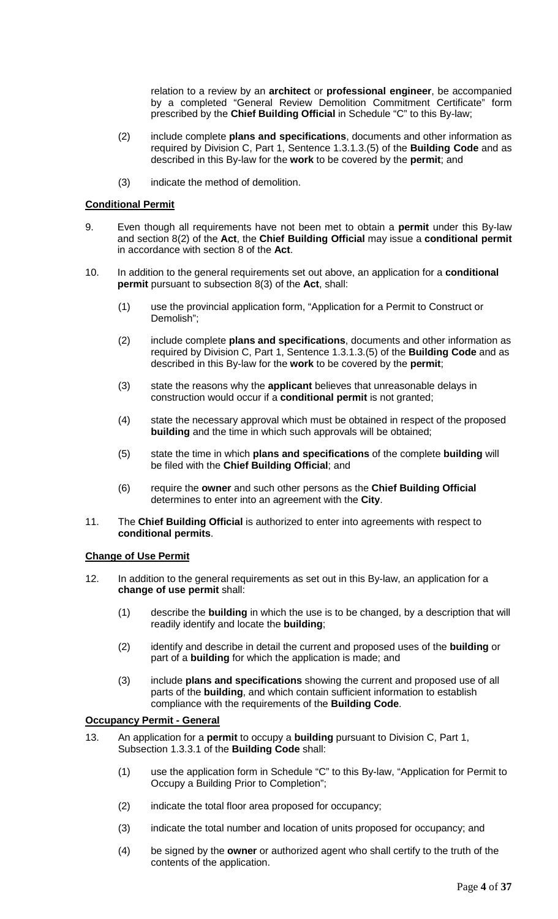relation to a review by an **architect** or **professional engineer**, be accompanied by a completed "General Review Demolition Commitment Certificate" form prescribed by the **Chief Building Official** in Schedule "C" to this By-law;

- (2) include complete **plans and specifications**, documents and other information as required by Division C, Part 1, Sentence 1.3.1.3.(5) of the **Building Code** and as described in this By-law for the **work** to be covered by the **permit**; and
- (3) indicate the method of demolition.

## **Conditional Permit**

- 9. Even though all requirements have not been met to obtain a **permit** under this By-law and section 8(2) of the **Act**, the **Chief Building Official** may issue a **conditional permit** in accordance with section 8 of the **Act**.
- 10. In addition to the general requirements set out above, an application for a **conditional permit** pursuant to subsection 8(3) of the **Act**, shall:
	- (1) use the provincial application form, "Application for a Permit to Construct or Demolish";
	- (2) include complete **plans and specifications**, documents and other information as required by Division C, Part 1, Sentence 1.3.1.3.(5) of the **Building Code** and as described in this By-law for the **work** to be covered by the **permit**;
	- (3) state the reasons why the **applicant** believes that unreasonable delays in construction would occur if a **conditional permit** is not granted;
	- (4) state the necessary approval which must be obtained in respect of the proposed **building** and the time in which such approvals will be obtained;
	- (5) state the time in which **plans and specifications** of the complete **building** will be filed with the **Chief Building Official**; and
	- (6) require the **owner** and such other persons as the **Chief Building Official** determines to enter into an agreement with the **City**.
- 11. The **Chief Building Official** is authorized to enter into agreements with respect to **conditional permits**.

#### **Change of Use Permit**

- 12. In addition to the general requirements as set out in this By-law, an application for a **change of use permit** shall:
	- (1) describe the **building** in which the use is to be changed, by a description that will readily identify and locate the **building**;
	- (2) identify and describe in detail the current and proposed uses of the **building** or part of a **building** for which the application is made; and
	- (3) include **plans and specifications** showing the current and proposed use of all parts of the **building**, and which contain sufficient information to establish compliance with the requirements of the **Building Code**.

#### **Occupancy Permit - General**

- 13. An application for a **permit** to occupy a **building** pursuant to Division C, Part 1, Subsection 1.3.3.1 of the **Building Code** shall:
	- (1) use the application form in Schedule "C" to this By-law, "Application for Permit to Occupy a Building Prior to Completion";
	- (2) indicate the total floor area proposed for occupancy;
	- (3) indicate the total number and location of units proposed for occupancy; and
	- (4) be signed by the **owner** or authorized agent who shall certify to the truth of the contents of the application.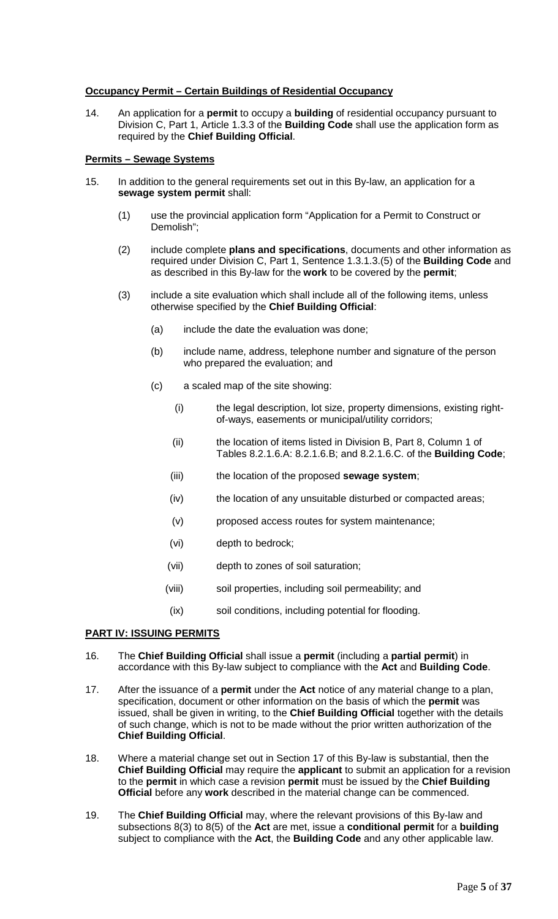## **Occupancy Permit – Certain Buildings of Residential Occupancy**

14. An application for a **permit** to occupy a **building** of residential occupancy pursuant to Division C, Part 1, Article 1.3.3 of the **Building Code** shall use the application form as required by the **Chief Building Official**.

## **Permits – Sewage Systems**

- 15. In addition to the general requirements set out in this By-law, an application for a **sewage system permit** shall:
	- (1) use the provincial application form "Application for a Permit to Construct or Demolish";
	- (2) include complete **plans and specifications**, documents and other information as required under Division C, Part 1, Sentence 1.3.1.3.(5) of the **Building Code** and as described in this By-law for the **work** to be covered by the **permit**;
	- (3) include a site evaluation which shall include all of the following items, unless otherwise specified by the **Chief Building Official**:
		- (a) include the date the evaluation was done;
		- (b) include name, address, telephone number and signature of the person who prepared the evaluation; and
		- (c) a scaled map of the site showing:
			- (i) the legal description, lot size, property dimensions, existing rightof-ways, easements or municipal/utility corridors;
			- (ii) the location of items listed in Division B, Part 8, Column 1 of Tables 8.2.1.6.A: 8.2.1.6.B; and 8.2.1.6.C. of the **Building Code**;
			- (iii) the location of the proposed **sewage system**;
			- (iv) the location of any unsuitable disturbed or compacted areas;
			- (v) proposed access routes for system maintenance;
			- (vi) depth to bedrock;
			- (vii) depth to zones of soil saturation;
			- (viii) soil properties, including soil permeability; and
			- (ix) soil conditions, including potential for flooding.

## **PART IV: ISSUING PERMITS**

- 16. The **Chief Building Official** shall issue a **permit** (including a **partial permit**) in accordance with this By-law subject to compliance with the **Act** and **Building Code**.
- 17. After the issuance of a **permit** under the **Act** notice of any material change to a plan, specification, document or other information on the basis of which the **permit** was issued, shall be given in writing, to the **Chief Building Official** together with the details of such change, which is not to be made without the prior written authorization of the **Chief Building Official**.
- 18. Where a material change set out in Section 17 of this By-law is substantial, then the **Chief Building Official** may require the **applicant** to submit an application for a revision to the **permit** in which case a revision **permit** must be issued by the **Chief Building Official** before any **work** described in the material change can be commenced.
- 19. The **Chief Building Official** may, where the relevant provisions of this By-law and subsections 8(3) to 8(5) of the **Act** are met, issue a **conditional permit** for a **building** subject to compliance with the **Act**, the **Building Code** and any other applicable law.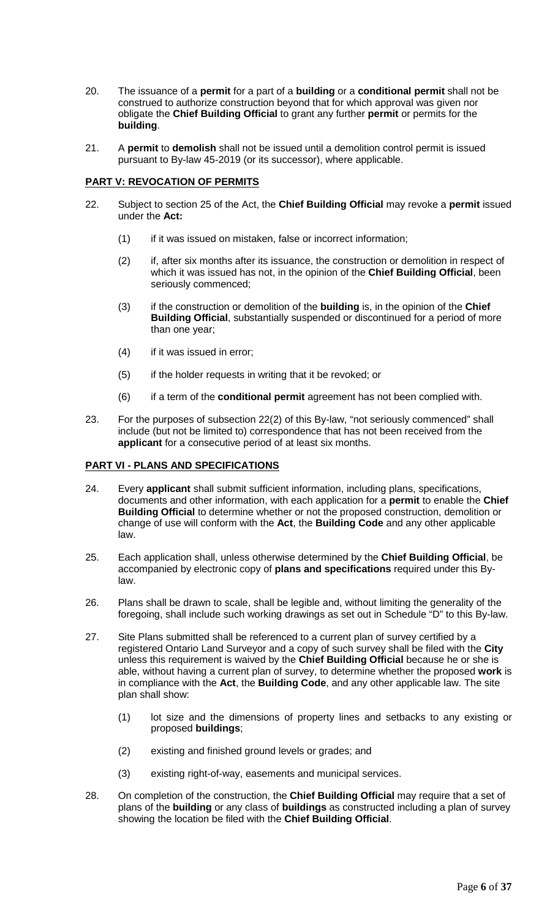- 20. The issuance of a **permit** for a part of a **building** or a **conditional permit** shall not be construed to authorize construction beyond that for which approval was given nor obligate the **Chief Building Official** to grant any further **permit** or permits for the **building**.
- 21. A **permit** to **demolish** shall not be issued until a demolition control permit is issued pursuant to By-law 45-2019 (or its successor), where applicable.

## **PART V: REVOCATION OF PERMITS**

- 22. Subject to section 25 of the Act, the **Chief Building Official** may revoke a **permit** issued under the **Act:**
	- (1) if it was issued on mistaken, false or incorrect information;
	- (2) if, after six months after its issuance, the construction or demolition in respect of which it was issued has not, in the opinion of the **Chief Building Official**, been seriously commenced;
	- (3) if the construction or demolition of the **building** is, in the opinion of the **Chief Building Official**, substantially suspended or discontinued for a period of more than one year;
	- (4) if it was issued in error;
	- (5) if the holder requests in writing that it be revoked; or
	- (6) if a term of the **conditional permit** agreement has not been complied with.
- 23. For the purposes of subsection 22(2) of this By-law, "not seriously commenced" shall include (but not be limited to) correspondence that has not been received from the **applicant** for a consecutive period of at least six months.

## **PART VI - PLANS AND SPECIFICATIONS**

- 24. Every **applicant** shall submit sufficient information, including plans, specifications, documents and other information, with each application for a **permit** to enable the **Chief Building Official** to determine whether or not the proposed construction, demolition or change of use will conform with the **Act**, the **Building Code** and any other applicable law.
- 25. Each application shall, unless otherwise determined by the **Chief Building Official**, be accompanied by electronic copy of **plans and specifications** required under this Bylaw.
- 26. Plans shall be drawn to scale, shall be legible and, without limiting the generality of the foregoing, shall include such working drawings as set out in Schedule "D" to this By-law.
- 27. Site Plans submitted shall be referenced to a current plan of survey certified by a registered Ontario Land Surveyor and a copy of such survey shall be filed with the **City** unless this requirement is waived by the **Chief Building Official** because he or she is able, without having a current plan of survey, to determine whether the proposed **work** is in compliance with the **Act**, the **Building Code**, and any other applicable law. The site plan shall show:
	- (1) lot size and the dimensions of property lines and setbacks to any existing or proposed **buildings**;
	- (2) existing and finished ground levels or grades; and
	- (3) existing right-of-way, easements and municipal services.
- 28. On completion of the construction, the **Chief Building Official** may require that a set of plans of the **building** or any class of **buildings** as constructed including a plan of survey showing the location be filed with the **Chief Building Official**.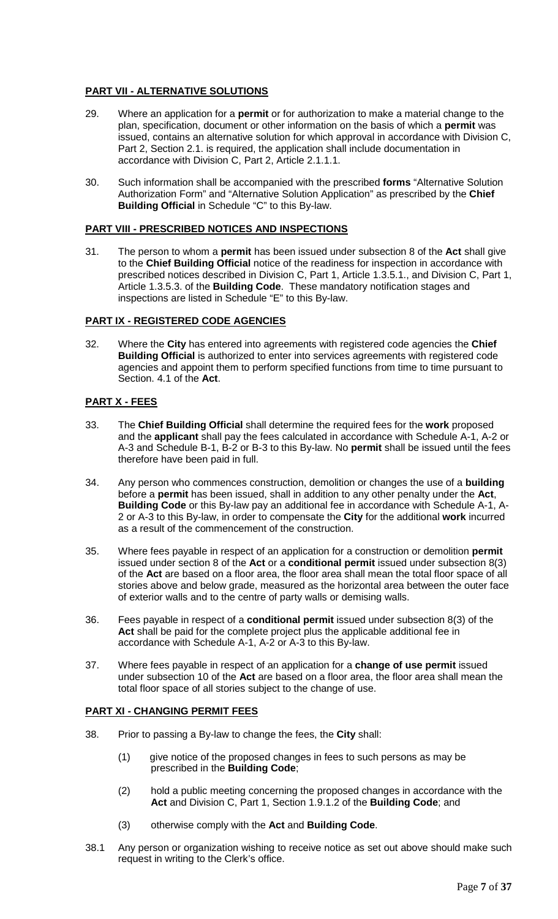## **PART VII - ALTERNATIVE SOLUTIONS**

- 29. Where an application for a **permit** or for authorization to make a material change to the plan, specification, document or other information on the basis of which a **permit** was issued, contains an alternative solution for which approval in accordance with Division C, Part 2, Section 2.1. is required, the application shall include documentation in accordance with Division C, Part 2, Article 2.1.1.1.
- 30. Such information shall be accompanied with the prescribed **forms** "Alternative Solution Authorization Form" and "Alternative Solution Application" as prescribed by the **Chief Building Official** in Schedule "C" to this By-law.

## **PART VIII - PRESCRIBED NOTICES AND INSPECTIONS**

31. The person to whom a **permit** has been issued under subsection 8 of the **Act** shall give to the **Chief Building Official** notice of the readiness for inspection in accordance with prescribed notices described in Division C, Part 1, Article 1.3.5.1., and Division C, Part 1, Article 1.3.5.3. of the **Building Code**. These mandatory notification stages and inspections are listed in Schedule "E" to this By-law.

## **PART IX - REGISTERED CODE AGENCIES**

32. Where the **City** has entered into agreements with registered code agencies the **Chief Building Official** is authorized to enter into services agreements with registered code agencies and appoint them to perform specified functions from time to time pursuant to Section. 4.1 of the **Act**.

## **PART X - FEES**

- 33. The **Chief Building Official** shall determine the required fees for the **work** proposed and the **applicant** shall pay the fees calculated in accordance with Schedule A-1, A-2 or A-3 and Schedule B-1, B-2 or B-3 to this By-law. No **permit** shall be issued until the fees therefore have been paid in full.
- 34. Any person who commences construction, demolition or changes the use of a **building** before a **permit** has been issued, shall in addition to any other penalty under the **Act**, **Building Code** or this By-law pay an additional fee in accordance with Schedule A-1, A-2 or A-3 to this By-law, in order to compensate the **City** for the additional **work** incurred as a result of the commencement of the construction.
- 35. Where fees payable in respect of an application for a construction or demolition **permit** issued under section 8 of the **Act** or a **conditional permit** issued under subsection 8(3) of the **Act** are based on a floor area, the floor area shall mean the total floor space of all stories above and below grade, measured as the horizontal area between the outer face of exterior walls and to the centre of party walls or demising walls.
- 36. Fees payable in respect of a **conditional permit** issued under subsection 8(3) of the **Act** shall be paid for the complete project plus the applicable additional fee in accordance with Schedule A-1, A-2 or A-3 to this By-law.
- 37. Where fees payable in respect of an application for a **change of use permit** issued under subsection 10 of the **Act** are based on a floor area, the floor area shall mean the total floor space of all stories subject to the change of use.

## **PART XI - CHANGING PERMIT FEES**

- 38. Prior to passing a By-law to change the fees, the **City** shall:
	- (1) give notice of the proposed changes in fees to such persons as may be prescribed in the **Building Code**;
	- (2) hold a public meeting concerning the proposed changes in accordance with the **Act** and Division C, Part 1, Section 1.9.1.2 of the **Building Code**; and
	- (3) otherwise comply with the **Act** and **Building Code**.
- 38.1 Any person or organization wishing to receive notice as set out above should make such request in writing to the Clerk's office.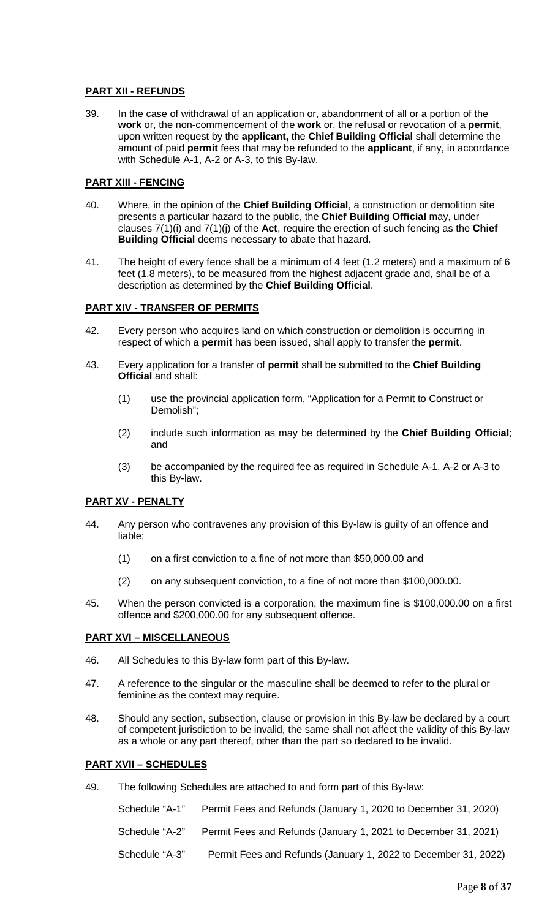## **PART XII - REFUNDS**

39. In the case of withdrawal of an application or, abandonment of all or a portion of the **work** or, the non-commencement of the **work** or, the refusal or revocation of a **permit**, upon written request by the **applicant,** the **Chief Building Official** shall determine the amount of paid **permit** fees that may be refunded to the **applicant**, if any, in accordance with Schedule A-1, A-2 or A-3, to this By-law.

## **PART XIII - FENCING**

- 40. Where, in the opinion of the **Chief Building Official**, a construction or demolition site presents a particular hazard to the public, the **Chief Building Official** may, under clauses 7(1)(i) and 7(1)(j) of the **Act**, require the erection of such fencing as the **Chief Building Official** deems necessary to abate that hazard.
- 41. The height of every fence shall be a minimum of 4 feet (1.2 meters) and a maximum of 6 feet (1.8 meters), to be measured from the highest adjacent grade and, shall be of a description as determined by the **Chief Building Official**.

## **PART XIV - TRANSFER OF PERMITS**

- 42. Every person who acquires land on which construction or demolition is occurring in respect of which a **permit** has been issued, shall apply to transfer the **permit**.
- 43. Every application for a transfer of **permit** shall be submitted to the **Chief Building Official** and shall:
	- (1) use the provincial application form, "Application for a Permit to Construct or Demolish";
	- (2) include such information as may be determined by the **Chief Building Official**; and
	- (3) be accompanied by the required fee as required in Schedule A-1, A-2 or A-3 to this By-law.

## **PART XV - PENALTY**

- 44. Any person who contravenes any provision of this By-law is guilty of an offence and liable;
	- (1) on a first conviction to a fine of not more than \$50,000.00 and
	- (2) on any subsequent conviction, to a fine of not more than \$100,000.00.
- 45. When the person convicted is a corporation, the maximum fine is \$100,000.00 on a first offence and \$200,000.00 for any subsequent offence.

## **PART XVI – MISCELLANEOUS**

- 46. All Schedules to this By-law form part of this By-law.
- 47. A reference to the singular or the masculine shall be deemed to refer to the plural or feminine as the context may require.
- 48. Should any section, subsection, clause or provision in this By-law be declared by a court of competent jurisdiction to be invalid, the same shall not affect the validity of this By-law as a whole or any part thereof, other than the part so declared to be invalid.

## **PART XVII – SCHEDULES**

49. The following Schedules are attached to and form part of this By-law:

Schedule "A-1" Permit Fees and Refunds (January 1, 2020 to December 31, 2020) Schedule "A-2" Permit Fees and Refunds (January 1, 2021 to December 31, 2021) Schedule "A-3" Permit Fees and Refunds (January 1, 2022 to December 31, 2022)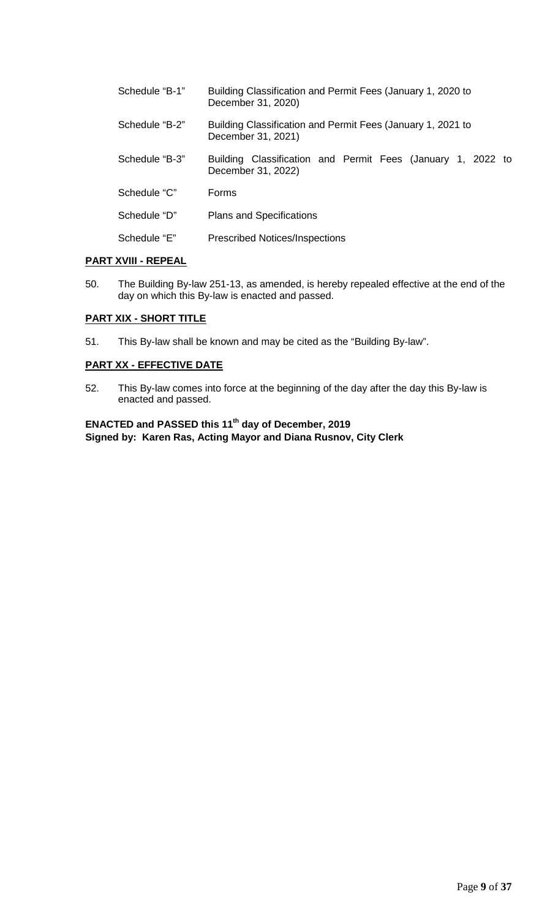| Schedule "B-1" | Building Classification and Permit Fees (January 1, 2020 to<br>December 31, 2020) |  |  |
|----------------|-----------------------------------------------------------------------------------|--|--|
| Schedule "B-2" | Building Classification and Permit Fees (January 1, 2021 to<br>December 31, 2021) |  |  |
| Schedule "B-3" | Building Classification and Permit Fees (January 1, 2022 to<br>December 31, 2022) |  |  |
| Schedule "C"   | Forms                                                                             |  |  |
| Schedule "D"   | <b>Plans and Specifications</b>                                                   |  |  |
| Schedule "E"   | <b>Prescribed Notices/Inspections</b>                                             |  |  |

## **PART XVIII - REPEAL**

50. The Building By-law 251-13, as amended, is hereby repealed effective at the end of the day on which this By-law is enacted and passed.

## **PART XIX - SHORT TITLE**

51. This By-law shall be known and may be cited as the "Building By-law".

## **PART XX - EFFECTIVE DATE**

52. This By-law comes into force at the beginning of the day after the day this By-law is enacted and passed.

**ENACTED and PASSED this 11th day of December, 2019 Signed by: Karen Ras, Acting Mayor and Diana Rusnov, City Clerk**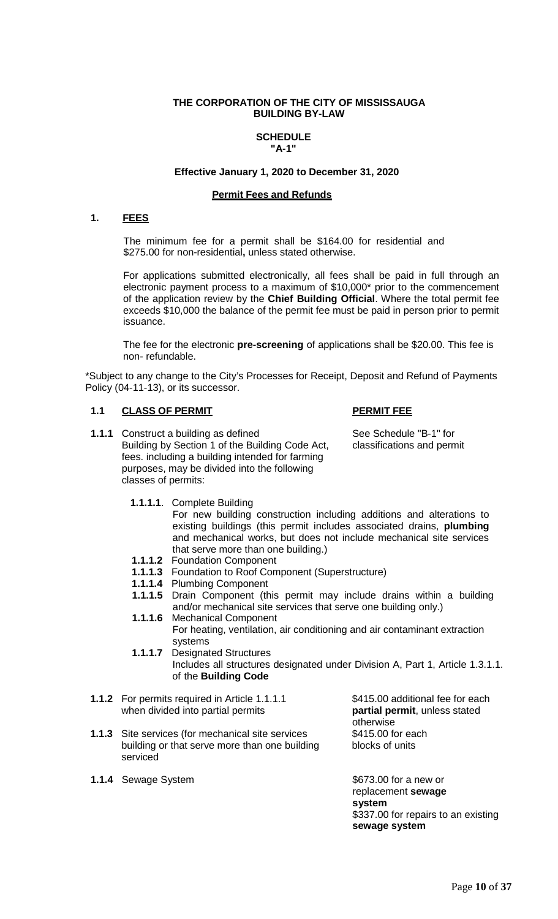## **THE CORPORATION OF THE CITY OF MISSISSAUGA BUILDING BY-LAW**

## **SCHEDULE "A-1"**

#### **Effective January 1, 2020 to December 31, 2020**

## **Permit Fees and Refunds**

## **1. FEES**

The minimum fee for a permit shall be \$164.00 for residential and \$275.00 for non-residential**,** unless stated otherwise.

For applications submitted electronically, all fees shall be paid in full through an electronic payment process to a maximum of \$10,000\* prior to the commencement of the application review by the **Chief Building Official**. Where the total permit fee exceeds \$10,000 the balance of the permit fee must be paid in person prior to permit issuance.

The fee for the electronic **pre-screening** of applications shall be \$20.00. This fee is non- refundable.

\*Subject to any change to the City's Processes for Receipt, Deposit and Refund of Payments Policy (04-11-13), or its successor.

## **1.1 CLASS OF PERMIT PERMIT FEE**

**1.1.1** Construct a building as defined See Schedule "B-1" for Building by Section 1 of the Building Code Act, classifications and permit fees. including a building intended for farming purposes, may be divided into the following classes of permits:

**1.1.1.1**. Complete Building

For new building construction including additions and alterations to existing buildings (this permit includes associated drains, **plumbing** and mechanical works, but does not include mechanical site services that serve more than one building.)

- **1.1.1.2** Foundation Component
- **1.1.1.3** Foundation to Roof Component (Superstructure)
- **1.1.1.4** Plumbing Component
- **1.1.1.5** Drain Component (this permit may include drains within a building and/or mechanical site services that serve one building only.)
- **1.1.1.6** Mechanical Component For heating, ventilation, air conditioning and air contaminant extraction systems
- **1.1.1.7** Designated Structures Includes all structures designated under Division A, Part 1, Article 1.3.1.1. of the **Building Code**
- **1.1.2** For permits required in Article 1.1.1.1 \$415.00 additional fee for each when divided into partial permits when divided into partial permits
- **1.1.3** Site services (for mechanical site services \$415.00 for each building or that serve more than one building blocks of units serviced
- **1.1.4** Sewage System **\$673.00** for a new or

otherwise

replacement **sewage system** \$337.00 for repairs to an existing **sewage system**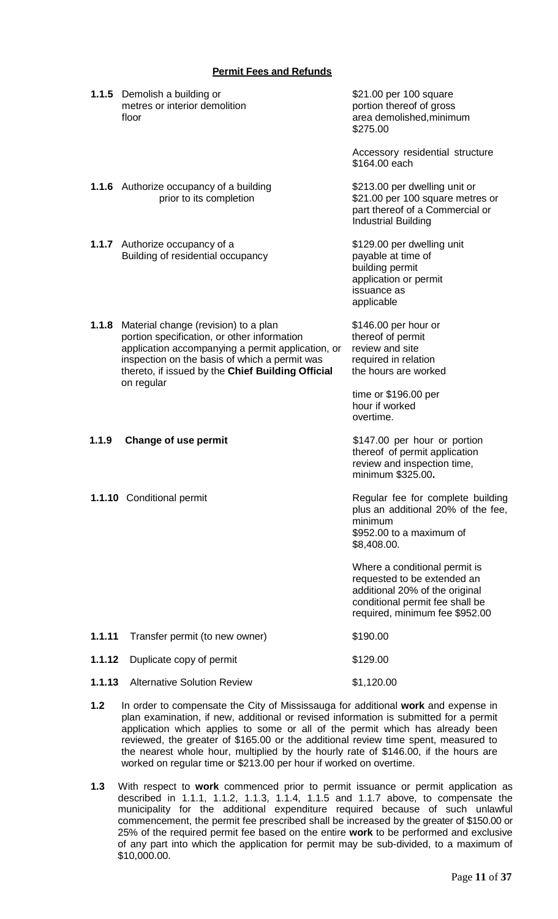## **Permit Fees and Refunds**

|        | 1.1.5 Demolish a building or<br>metres or interior demolition<br>floor                                                                                                                                                                                       | \$21.00 per 100 square<br>portion thereof of gross<br>area demolished, minimum<br>\$275.00                                                                          |
|--------|--------------------------------------------------------------------------------------------------------------------------------------------------------------------------------------------------------------------------------------------------------------|---------------------------------------------------------------------------------------------------------------------------------------------------------------------|
|        |                                                                                                                                                                                                                                                              | Accessory residential structure<br>\$164.00 each                                                                                                                    |
|        | <b>1.1.6</b> Authorize occupancy of a building<br>prior to its completion                                                                                                                                                                                    | \$213.00 per dwelling unit or<br>\$21.00 per 100 square metres or<br>part thereof of a Commercial or<br><b>Industrial Building</b>                                  |
|        | 1.1.7 Authorize occupancy of a<br>Building of residential occupancy                                                                                                                                                                                          | \$129.00 per dwelling unit<br>payable at time of<br>building permit<br>application or permit<br>issuance as<br>applicable                                           |
| 1.1.8  | Material change (revision) to a plan<br>portion specification, or other information<br>application accompanying a permit application, or<br>inspection on the basis of which a permit was<br>thereto, if issued by the Chief Building Official<br>on regular | \$146.00 per hour or<br>thereof of permit<br>review and site<br>required in relation<br>the hours are worked                                                        |
|        |                                                                                                                                                                                                                                                              | time or \$196.00 per<br>hour if worked<br>overtime.                                                                                                                 |
| 1.1.9  | Change of use permit                                                                                                                                                                                                                                         | \$147.00 per hour or portion<br>thereof of permit application<br>review and inspection time,<br>minimum \$325.00.                                                   |
|        | 1.1.10 Conditional permit                                                                                                                                                                                                                                    | Regular fee for complete building<br>plus an additional 20% of the fee,<br>minimum<br>\$952.00 to a maximum of<br>\$8,408.00.                                       |
|        |                                                                                                                                                                                                                                                              | Where a conditional permit is<br>requested to be extended an<br>additional 20% of the original<br>conditional permit fee shall be<br>required, minimum fee \$952.00 |
| 1.1.11 | Transfer permit (to new owner)                                                                                                                                                                                                                               | \$190.00                                                                                                                                                            |
| 1.1.12 | Duplicate copy of permit                                                                                                                                                                                                                                     | \$129.00                                                                                                                                                            |
| 1.1.13 | <b>Alternative Solution Review</b>                                                                                                                                                                                                                           | \$1,120.00                                                                                                                                                          |
|        |                                                                                                                                                                                                                                                              |                                                                                                                                                                     |

- **1.2** In order to compensate the City of Mississauga for additional **work** and expense in plan examination, if new, additional or revised information is submitted for a permit application which applies to some or all of the permit which has already been reviewed, the greater of \$165.00 or the additional review time spent, measured to the nearest whole hour, multiplied by the hourly rate of \$146.00, if the hours are worked on regular time or \$213.00 per hour if worked on overtime.
- **1.3** With respect to **work** commenced prior to permit issuance or permit application as described in 1.1.1, 1.1.2, 1.1.3, 1.1.4, 1.1.5 and 1.1.7 above, to compensate the municipality for the additional expenditure required because of such unlawful commencement, the permit fee prescribed shall be increased by the greater of \$150.00 or 25% of the required permit fee based on the entire **work** to be performed and exclusive of any part into which the application for permit may be sub-divided, to a maximum of \$10,000.00.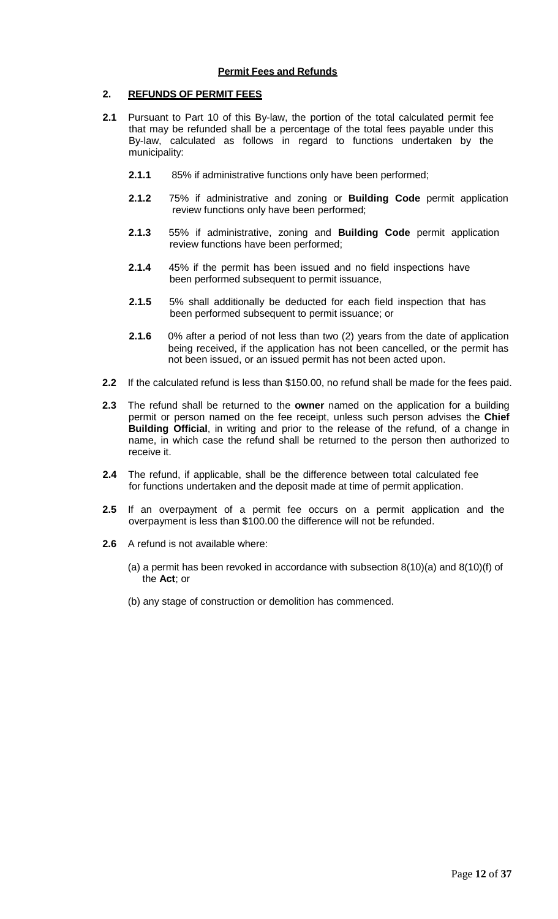## **Permit Fees and Refunds**

## **2. REFUNDS OF PERMIT FEES**

- **2.1** Pursuant to Part 10 of this By-law, the portion of the total calculated permit fee that may be refunded shall be a percentage of the total fees payable under this By-law, calculated as follows in regard to functions undertaken by the municipality:
	- **2.1.1** 85% if administrative functions only have been performed;
	- **2.1.2** 75% if administrative and zoning or **Building Code** permit application review functions only have been performed;
	- **2.1.3** 55% if administrative, zoning and **Building Code** permit application review functions have been performed;
	- **2.1.4** 45% if the permit has been issued and no field inspections have been performed subsequent to permit issuance,
	- **2.1.5** 5% shall additionally be deducted for each field inspection that has been performed subsequent to permit issuance; or
	- **2.1.6** 0% after a period of not less than two (2) years from the date of application being received, if the application has not been cancelled, or the permit has not been issued, or an issued permit has not been acted upon.
- **2.2** If the calculated refund is less than \$150.00, no refund shall be made for the fees paid.
- **2.3** The refund shall be returned to the **owner** named on the application for a building permit or person named on the fee receipt, unless such person advises the **Chief Building Official**, in writing and prior to the release of the refund, of a change in name, in which case the refund shall be returned to the person then authorized to receive it.
- **2.4** The refund, if applicable, shall be the difference between total calculated fee for functions undertaken and the deposit made at time of permit application.
- **2.5** If an overpayment of a permit fee occurs on a permit application and the overpayment is less than \$100.00 the difference will not be refunded.
- **2.6** A refund is not available where:
	- (a) a permit has been revoked in accordance with subsection 8(10)(a) and 8(10)(f) of the **Act**; or
	- (b) any stage of construction or demolition has commenced.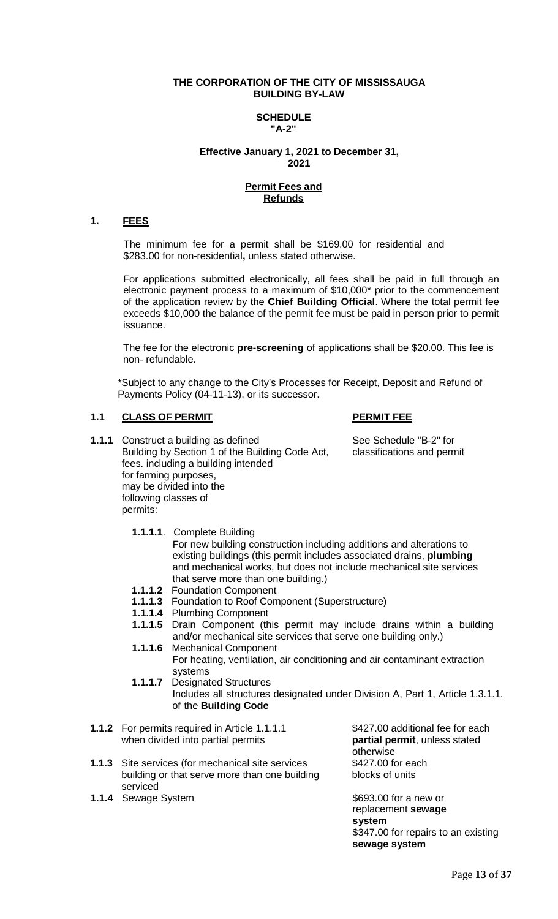#### **THE CORPORATION OF THE CITY OF MISSISSAUGA BUILDING BY-LAW**

#### **SCHEDULE "A-2"**

## **Effective January 1, 2021 to December 31, 2021**

#### **Permit Fees and Refunds**

## **1. FEES**

The minimum fee for a permit shall be \$169.00 for residential and \$283.00 for non-residential**,** unless stated otherwise.

For applications submitted electronically, all fees shall be paid in full through an electronic payment process to a maximum of \$10,000\* prior to the commencement of the application review by the **Chief Building Official**. Where the total permit fee exceeds \$10,000 the balance of the permit fee must be paid in person prior to permit issuance.

The fee for the electronic **pre-screening** of applications shall be \$20.00. This fee is non- refundable.

\*Subject to any change to the City's Processes for Receipt, Deposit and Refund of Payments Policy (04-11-13), or its successor.

## **1.1 CLASS OF PERMIT PERMIT FEE**

serviced

- **1.1.1** Construct a building as defined See Schedule "B-2" for Building by Section 1 of the Building Code Act, classifications and permit fees. including a building intended for farming purposes, may be divided into the following classes of permits:
	- **1.1.1.1**. Complete Building

For new building construction including additions and alterations to existing buildings (this permit includes associated drains, **plumbing** and mechanical works, but does not include mechanical site services that serve more than one building.)

- **1.1.1.2** Foundation Component
- **1.1.1.3** Foundation to Roof Component (Superstructure)
- **1.1.1.4** Plumbing Component
- **1.1.1.5** Drain Component (this permit may include drains within a building and/or mechanical site services that serve one building only.)
- **1.1.1.6** Mechanical Component For heating, ventilation, air conditioning and air contaminant extraction systems
- **1.1.1.7** Designated Structures Includes all structures designated under Division A, Part 1, Article 1.3.1.1. of the **Building Code**

| <b>1.1.2</b> For permits required in Article 1.1.1.1<br>when divided into partial permits                 |
|-----------------------------------------------------------------------------------------------------------|
| <b>1.1.3</b> Site services (for mechanical site services<br>building or that serve more than one building |

\$427.00 additional fee for each partial permit, unless stated otherwise \$427.00 for each blocks of units

**1.1.4** Sewage System  $$693.00$  for a new or replacement **sewage system** \$347.00 for repairs to an existing **sewage system**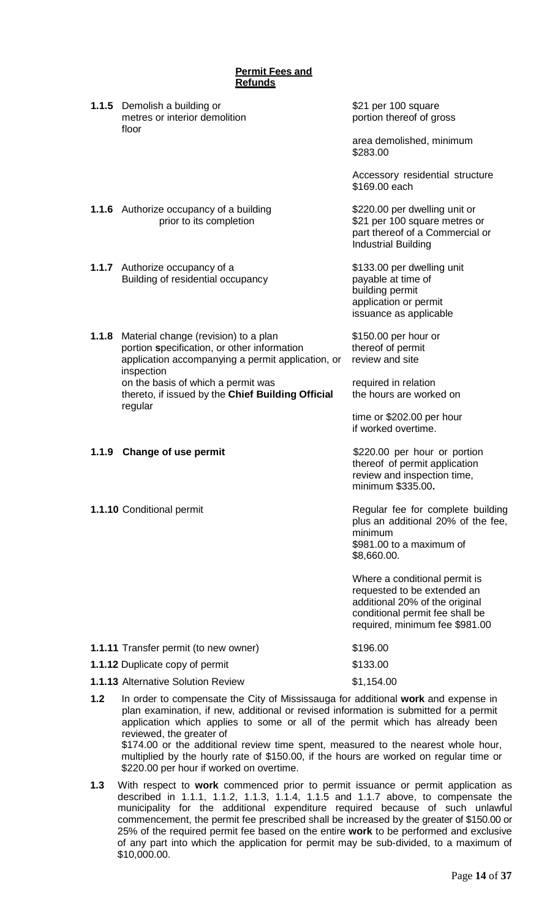|       | <b>Permit Fees and</b><br><b>Refunds</b>                                                                                                               |                                                                                                                                                                     |
|-------|--------------------------------------------------------------------------------------------------------------------------------------------------------|---------------------------------------------------------------------------------------------------------------------------------------------------------------------|
|       | <b>1.1.5</b> Demolish a building or<br>metres or interior demolition<br>floor                                                                          | \$21 per 100 square<br>portion thereof of gross                                                                                                                     |
|       |                                                                                                                                                        | area demolished, minimum<br>\$283.00                                                                                                                                |
|       |                                                                                                                                                        | Accessory residential structure<br>\$169.00 each                                                                                                                    |
|       | <b>1.1.6</b> Authorize occupancy of a building<br>prior to its completion                                                                              | \$220.00 per dwelling unit or<br>\$21 per 100 square metres or<br>part thereof of a Commercial or<br><b>Industrial Building</b>                                     |
|       | 1.1.7 Authorize occupancy of a<br>Building of residential occupancy                                                                                    | \$133.00 per dwelling unit<br>payable at time of<br>building permit<br>application or permit<br>issuance as applicable                                              |
| 1.1.8 | Material change (revision) to a plan<br>portion specification, or other information<br>application accompanying a permit application, or<br>inspection | \$150.00 per hour or<br>thereof of permit<br>review and site                                                                                                        |
|       | on the basis of which a permit was<br>thereto, if issued by the Chief Building Official<br>regular                                                     | required in relation<br>the hours are worked on                                                                                                                     |
|       |                                                                                                                                                        | time or \$202.00 per hour<br>if worked overtime.                                                                                                                    |
| 1.1.9 | <b>Change of use permit</b>                                                                                                                            | \$220.00 per hour or portion<br>thereof of permit application<br>review and inspection time<br>minimum \$335.00.                                                    |
|       | 1.1.10 Conditional permit                                                                                                                              | Regular fee for complete building<br>plus an additional 20% of the fee,<br>minimum<br>\$981.00 to a maximum of<br>\$8,660.00.                                       |
|       |                                                                                                                                                        | Where a conditional permit is<br>requested to be extended an<br>additional 20% of the original<br>conditional permit fee shall be<br>required, minimum fee \$981.00 |
|       | 1.1.11 Transfer permit (to new owner)                                                                                                                  | \$196.00                                                                                                                                                            |
|       | 1.1.12 Duplicate copy of permit                                                                                                                        | \$133.00                                                                                                                                                            |
|       | <b>1.1.13 Alternative Solution Review</b>                                                                                                              | \$1,154.00                                                                                                                                                          |
|       | 1.2 In order to companient the City of Mississaure for additional work and expense in                                                                  |                                                                                                                                                                     |

- **1.2** In order to compensate the City of Mississauga for additional **work** and expense in plan examination, if new, additional or revised information is submitted for a permit application which applies to some or all of the permit which has already been reviewed, the greater of \$174.00 or the additional review time spent, measured to the nearest whole hour, multiplied by the hourly rate of \$150.00, if the hours are worked on regular time or \$220.00 per hour if worked on overtime.
- **1.3** With respect to **work** commenced prior to permit issuance or permit application as described in 1.1.1, 1.1.2, 1.1.3, 1.1.4, 1.1.5 and 1.1.7 above, to compensate the municipality for the additional expenditure required because of such unlawful commencement, the permit fee prescribed shall be increased by the greater of \$150.00 or 25% of the required permit fee based on the entire **work** to be performed and exclusive of any part into which the application for permit may be sub-divided, to a maximum of \$10,000.00.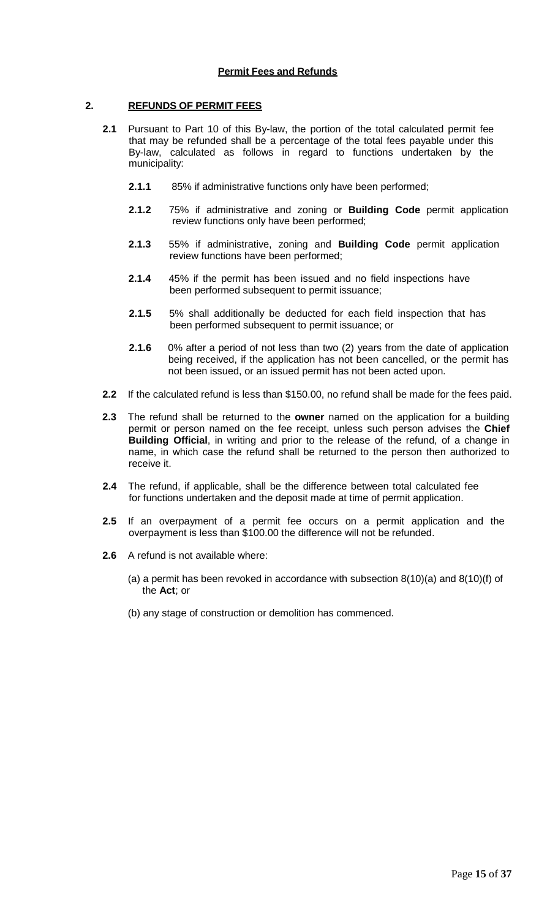## **Permit Fees and Refunds**

## **2. REFUNDS OF PERMIT FEES**

- **2.1** Pursuant to Part 10 of this By-law, the portion of the total calculated permit fee that may be refunded shall be a percentage of the total fees payable under this By-law, calculated as follows in regard to functions undertaken by the municipality:
	- **2.1.1** 85% if administrative functions only have been performed;
	- **2.1.2** 75% if administrative and zoning or **Building Code** permit application review functions only have been performed;
	- **2.1.3** 55% if administrative, zoning and **Building Code** permit application review functions have been performed;
	- **2.1.4** 45% if the permit has been issued and no field inspections have been performed subsequent to permit issuance;
	- **2.1.5** 5% shall additionally be deducted for each field inspection that has been performed subsequent to permit issuance; or
	- **2.1.6** 0% after a period of not less than two (2) years from the date of application being received, if the application has not been cancelled, or the permit has not been issued, or an issued permit has not been acted upon.
- **2.2** If the calculated refund is less than \$150.00, no refund shall be made for the fees paid.
- **2.3** The refund shall be returned to the **owner** named on the application for a building permit or person named on the fee receipt, unless such person advises the **Chief Building Official**, in writing and prior to the release of the refund, of a change in name, in which case the refund shall be returned to the person then authorized to receive it.
- **2.4** The refund, if applicable, shall be the difference between total calculated fee for functions undertaken and the deposit made at time of permit application.
- **2.5** If an overpayment of a permit fee occurs on a permit application and the overpayment is less than \$100.00 the difference will not be refunded.
- **2.6** A refund is not available where:
	- (a) a permit has been revoked in accordance with subsection  $8(10)(a)$  and  $8(10)(f)$  of the **Act**; or
	- (b) any stage of construction or demolition has commenced.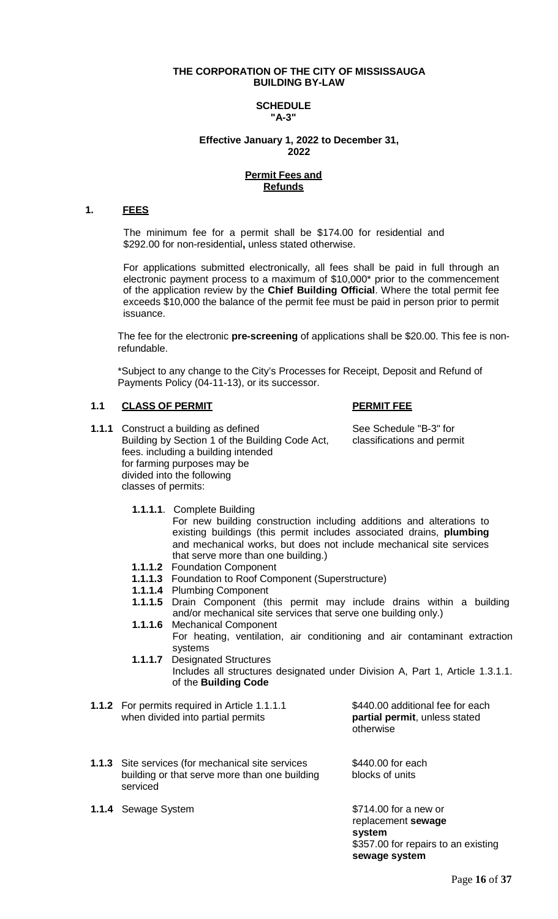## **THE CORPORATION OF THE CITY OF MISSISSAUGA BUILDING BY-LAW**

#### **SCHEDULE "A-3"**

#### **Effective January 1, 2022 to December 31, 2022**

#### **Permit Fees and Refunds**

#### **1. FEES**

The minimum fee for a permit shall be \$174.00 for residential and \$292.00 for non-residential**,** unless stated otherwise.

For applications submitted electronically, all fees shall be paid in full through an electronic payment process to a maximum of \$10,000\* prior to the commencement of the application review by the **Chief Building Official**. Where the total permit fee exceeds \$10,000 the balance of the permit fee must be paid in person prior to permit issuance.

The fee for the electronic **pre-screening** of applications shall be \$20.00. This fee is nonrefundable.

\*Subject to any change to the City's Processes for Receipt, Deposit and Refund of Payments Policy (04-11-13), or its successor.

## **1.1 CLASS OF PERMIT PERMIT FEE**

**1.1.1** Construct a building as defined<br>Building by Section 1 of the Building Code Act, classifications and permit Building by Section 1 of the Building Code Act, fees. including a building intended for farming purposes may be divided into the following classes of permits:

**1.1.1.1**. Complete Building

For new building construction including additions and alterations to existing buildings (this permit includes associated drains, **plumbing** and mechanical works, but does not include mechanical site services that serve more than one building.)

- **1.1.1.2** Foundation Component
- **1.1.1.3** Foundation to Roof Component (Superstructure)
- **1.1.1.4** Plumbing Component
- **1.1.1.5** Drain Component (this permit may include drains within a building and/or mechanical site services that serve one building only.)
- **1.1.1.6** Mechanical Component For heating, ventilation, air conditioning and air contaminant extraction systems
- **1.1.1.7** Designated Structures Includes all structures designated under Division A, Part 1, Article 1.3.1.1. of the **Building Code**
- **1.1.2** For permits required in Article 1.1.1.1 \$440.00 additional fee for each when divided into partial permits when divided into partial permits

otherwise

- **1.1.3** Site services (for mechanical site services \$440.00 for each building or that serve more than one building blocks of units building or that serve more than one building serviced
- **1.1.4** Sewage System  $$714.00$  for a new or

replacement **sewage system** \$357.00 for repairs to an existing **sewage system**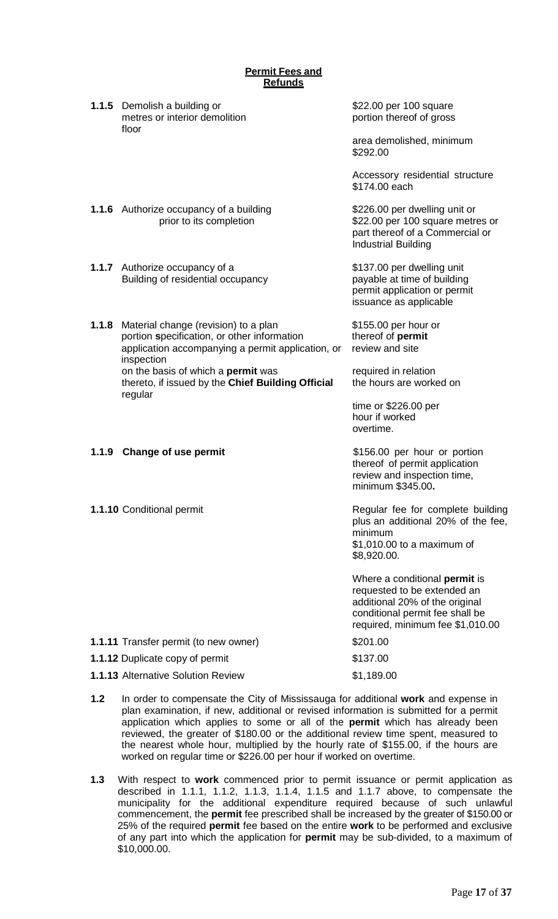| <b>Permit Fees and</b><br><b>Refunds</b> |                                                                                                                                                        |                                                                                                                                                                              |  |
|------------------------------------------|--------------------------------------------------------------------------------------------------------------------------------------------------------|------------------------------------------------------------------------------------------------------------------------------------------------------------------------------|--|
|                                          | <b>1.1.5</b> Demolish a building or<br>metres or interior demolition<br>floor                                                                          | \$22.00 per 100 square<br>portion thereof of gross                                                                                                                           |  |
|                                          |                                                                                                                                                        | area demolished, minimum<br>\$292.00                                                                                                                                         |  |
|                                          |                                                                                                                                                        | Accessory residential structure<br>\$174.00 each                                                                                                                             |  |
|                                          | <b>1.1.6</b> Authorize occupancy of a building<br>prior to its completion                                                                              | \$226.00 per dwelling unit or<br>\$22.00 per 100 square metres or<br>part thereof of a Commercial or<br><b>Industrial Building</b>                                           |  |
|                                          | 1.1.7 Authorize occupancy of a<br>Building of residential occupancy                                                                                    | \$137.00 per dwelling unit<br>payable at time of building<br>permit application or permit<br>issuance as applicable                                                          |  |
| 1.1.8                                    | Material change (revision) to a plan<br>portion specification, or other information<br>application accompanying a permit application, or<br>inspection | \$155.00 per hour or<br>thereof of permit<br>review and site                                                                                                                 |  |
|                                          | on the basis of which a <b>permit</b> was<br>thereto, if issued by the Chief Building Official<br>regular                                              | required in relation<br>the hours are worked on                                                                                                                              |  |
|                                          |                                                                                                                                                        | time or \$226.00 per<br>hour if worked<br>overtime.                                                                                                                          |  |
|                                          | 1.1.9 Change of use permit                                                                                                                             | \$156.00 per hour or portion<br>thereof of permit application<br>review and inspection time,<br>minimum \$345.00.                                                            |  |
|                                          | 1.1.10 Conditional permit                                                                                                                              | Regular fee for complete building<br>plus an additional 20% of the fee,<br>minimum<br>\$1,010.00 to a maximum of<br>\$8,920.00.                                              |  |
|                                          |                                                                                                                                                        | Where a conditional <b>permit</b> is<br>requested to be extended an<br>additional 20% of the original<br>conditional permit fee shall be<br>required, minimum fee \$1,010.00 |  |
|                                          | 1.1.11 Transfer permit (to new owner)                                                                                                                  | \$201.00                                                                                                                                                                     |  |
|                                          | 1.1.12 Duplicate copy of permit                                                                                                                        | \$137.00                                                                                                                                                                     |  |
|                                          | 1.1.13 Alternative Solution Review                                                                                                                     | \$1,189.00                                                                                                                                                                   |  |

- **1.2** In order to compensate the City of Mississauga for additional **work** and expense in plan examination, if new, additional or revised information is submitted for a permit application which applies to some or all of the **permit** which has already been reviewed, the greater of \$180.00 or the additional review time spent, measured to the nearest whole hour, multiplied by the hourly rate of \$155.00, if the hours are worked on regular time or \$226.00 per hour if worked on overtime.
- **1.3** With respect to **work** commenced prior to permit issuance or permit application as described in 1.1.1, 1.1.2, 1.1.3, 1.1.4, 1.1.5 and 1.1.7 above, to compensate the municipality for the additional expenditure required because of such unlawful commencement, the **permit** fee prescribed shall be increased by the greater of \$150.00 or 25% of the required **permit** fee based on the entire **work** to be performed and exclusive of any part into which the application for **permit** may be sub-divided, to a maximum of \$10,000.00.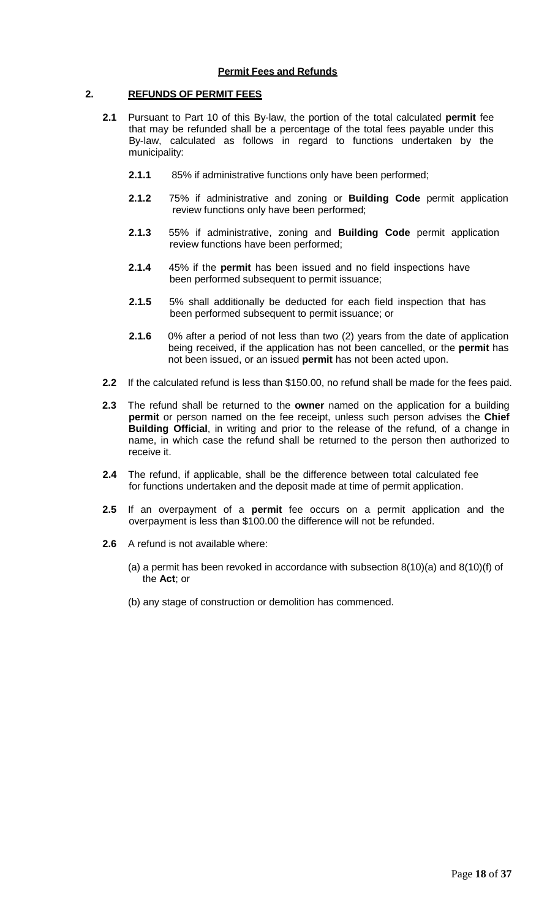## **Permit Fees and Refunds**

## **2. REFUNDS OF PERMIT FEES**

- **2.1** Pursuant to Part 10 of this By-law, the portion of the total calculated **permit** fee that may be refunded shall be a percentage of the total fees payable under this By-law, calculated as follows in regard to functions undertaken by the municipality:
	- **2.1.1** 85% if administrative functions only have been performed;
	- **2.1.2** 75% if administrative and zoning or **Building Code** permit application review functions only have been performed;
	- **2.1.3** 55% if administrative, zoning and **Building Code** permit application review functions have been performed;
	- **2.1.4** 45% if the **permit** has been issued and no field inspections have been performed subsequent to permit issuance;
	- **2.1.5** 5% shall additionally be deducted for each field inspection that has been performed subsequent to permit issuance; or
	- **2.1.6** 0% after a period of not less than two (2) years from the date of application being received, if the application has not been cancelled, or the **permit** has not been issued, or an issued **permit** has not been acted upon.
- **2.2** If the calculated refund is less than \$150.00, no refund shall be made for the fees paid.
- **2.3** The refund shall be returned to the **owner** named on the application for a building **permit** or person named on the fee receipt, unless such person advises the **Chief Building Official**, in writing and prior to the release of the refund, of a change in name, in which case the refund shall be returned to the person then authorized to receive it.
- **2.4** The refund, if applicable, shall be the difference between total calculated fee for functions undertaken and the deposit made at time of permit application.
- **2.5** If an overpayment of a **permit** fee occurs on a permit application and the overpayment is less than \$100.00 the difference will not be refunded.
- **2.6** A refund is not available where:
	- (a) a permit has been revoked in accordance with subsection 8(10)(a) and 8(10)(f) of the **Act**; or
	- (b) any stage of construction or demolition has commenced.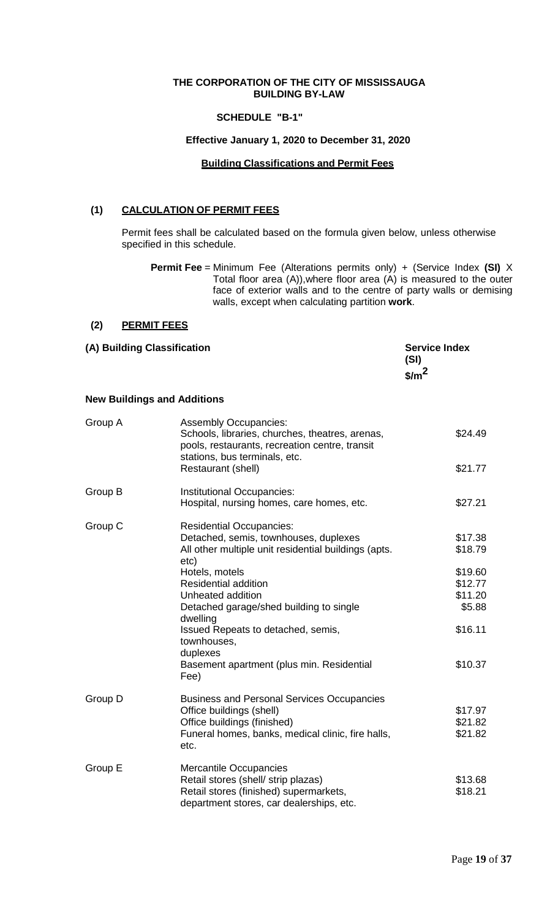## **THE CORPORATION OF THE CITY OF MISSISSAUGA BUILDING BY-LAW**

## **SCHEDULE "B-1"**

## **Effective January 1, 2020 to December 31, 2020**

## **Building Classifications and Permit Fees**

## **(1) CALCULATION OF PERMIT FEES**

Permit fees shall be calculated based on the formula given below, unless otherwise specified in this schedule.

**Permit Fee** = Minimum Fee (Alterations permits only) + (Service Index **(SI)** X Total floor area (A)),where floor area (A) is measured to the outer face of exterior walls and to the centre of party walls or demising walls, except when calculating partition **work**.

## **(2) PERMIT FEES**

| (A) Building Classification |                                    | <b>Service Index</b><br>(SI)<br>$\frac{m^2}{2}$ |  |
|-----------------------------|------------------------------------|-------------------------------------------------|--|
|                             | <b>New Buildings and Additions</b> |                                                 |  |
| Group A                     | <b>Assembly Occupancies:</b>       |                                                 |  |

| Group A | <b>Assembly Occupancies:</b><br>Schools, libraries, churches, theatres, arenas,<br>pools, restaurants, recreation centre, transit<br>stations, bus terminals, etc.<br>Restaurant (shell) | \$24.49<br>\$21.77 |
|---------|------------------------------------------------------------------------------------------------------------------------------------------------------------------------------------------|--------------------|
| Group B | Institutional Occupancies:<br>Hospital, nursing homes, care homes, etc.                                                                                                                  | \$27.21            |
| Group C | <b>Residential Occupancies:</b><br>Detached, semis, townhouses, duplexes<br>All other multiple unit residential buildings (apts.<br>etc)                                                 | \$17.38<br>\$18.79 |
|         | Hotels, motels<br><b>Residential addition</b>                                                                                                                                            | \$19.60<br>\$12.77 |
|         | Unheated addition                                                                                                                                                                        | \$11.20            |
|         | Detached garage/shed building to single<br>dwelling                                                                                                                                      | \$5.88             |
|         | Issued Repeats to detached, semis,<br>townhouses,<br>duplexes                                                                                                                            | \$16.11            |
|         | Basement apartment (plus min. Residential<br>Fee)                                                                                                                                        | \$10.37            |
| Group D | <b>Business and Personal Services Occupancies</b>                                                                                                                                        |                    |
|         | Office buildings (shell)                                                                                                                                                                 | \$17.97            |
|         | Office buildings (finished)                                                                                                                                                              | \$21.82            |
|         | Funeral homes, banks, medical clinic, fire halls,<br>etc.                                                                                                                                | \$21.82            |
| Group E | <b>Mercantile Occupancies</b><br>Retail stores (shell/ strip plazas)                                                                                                                     | \$13.68            |
|         | Retail stores (finished) supermarkets,<br>department stores, car dealerships, etc.                                                                                                       | \$18.21            |
|         |                                                                                                                                                                                          |                    |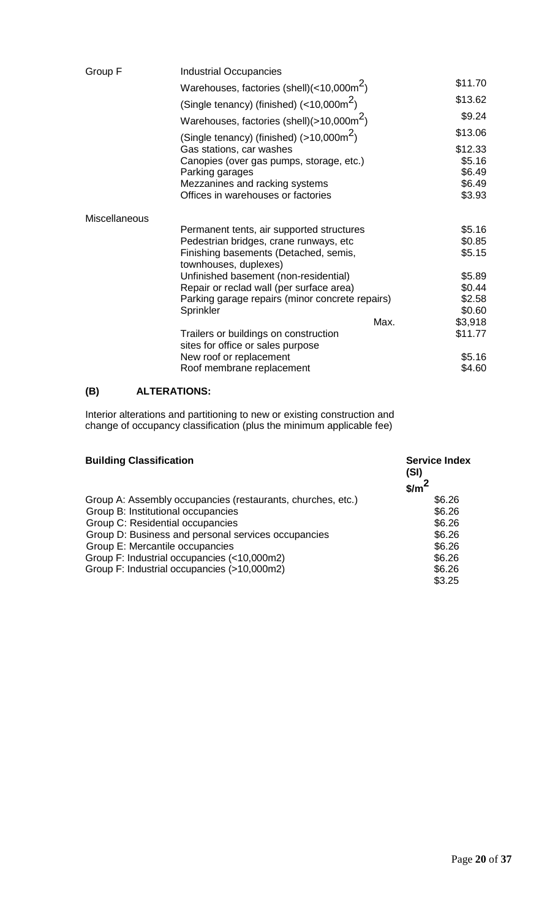| Group F              | <b>Industrial Occupancies</b>                                  |         |
|----------------------|----------------------------------------------------------------|---------|
|                      | Warehouses, factories (shell) $(<$ 10,000m <sup>2</sup> )      | \$11.70 |
|                      | (Single tenancy) (finished) $\left($ < 10,000m <sup>2</sup> )  | \$13.62 |
|                      | Warehouses, factories (shell)( $>10,000$ m <sup>2</sup> )      | \$9.24  |
|                      | (Single tenancy) (finished) $(>10,000 \text{m}^2)$             | \$13.06 |
|                      | Gas stations, car washes                                       | \$12.33 |
|                      | Canopies (over gas pumps, storage, etc.)                       | \$5.16  |
|                      | Parking garages                                                | \$6.49  |
|                      | Mezzanines and racking systems                                 | \$6.49  |
|                      | Offices in warehouses or factories                             | \$3.93  |
| <b>Miscellaneous</b> |                                                                |         |
|                      | Permanent tents, air supported structures                      | \$5.16  |
|                      | Pedestrian bridges, crane runways, etc                         | \$0.85  |
|                      | Finishing basements (Detached, semis,<br>townhouses, duplexes) | \$5.15  |
|                      | Unfinished basement (non-residential)                          | \$5.89  |
|                      | Repair or reclad wall (per surface area)                       | \$0.44  |
|                      | Parking garage repairs (minor concrete repairs)                | \$2.58  |
|                      | Sprinkler                                                      | \$0.60  |
|                      | Max.                                                           | \$3,918 |
|                      | Trailers or buildings on construction                          | \$11.77 |
|                      | sites for office or sales purpose                              |         |
|                      | New roof or replacement                                        | \$5.16  |
|                      | Roof membrane replacement                                      | \$4.60  |
|                      |                                                                |         |

## **(B) ALTERATIONS:**

Interior alterations and partitioning to new or existing construction and change of occupancy classification (plus the minimum applicable fee)

| <b>Building Classification</b>                              | <b>Service Index</b><br>(SI)<br>$\frac{m}{2}$ |
|-------------------------------------------------------------|-----------------------------------------------|
| Group A: Assembly occupancies (restaurants, churches, etc.) | \$6.26                                        |
| Group B: Institutional occupancies                          | \$6.26                                        |
| Group C: Residential occupancies                            | \$6.26                                        |
| Group D: Business and personal services occupancies         | \$6.26                                        |
| Group E: Mercantile occupancies                             | \$6.26                                        |
| Group F: Industrial occupancies (<10,000m2)                 | \$6.26                                        |
| Group F: Industrial occupancies (>10,000m2)                 | \$6.26                                        |
|                                                             | \$3.25                                        |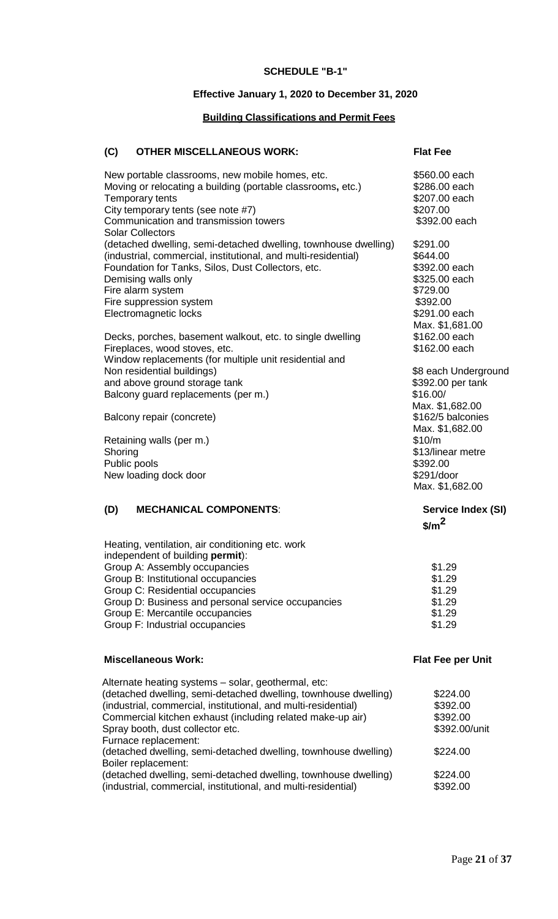#### **SCHEDULE "B-1"**

## **Effective January 1, 2020 to December 31, 2020**

## **Building Classifications and Permit Fees**

## **(C) OTHER MISCELLANEOUS WORK: Flat Fee**

| New portable classrooms, new mobile homes, etc.<br>Moving or relocating a building (portable classrooms, etc.)<br>Temporary tents<br>City temporary tents (see note #7) | \$560.00 each<br>\$286.00 each<br>\$207.00 each<br>\$207.00 |
|-------------------------------------------------------------------------------------------------------------------------------------------------------------------------|-------------------------------------------------------------|
| Communication and transmission towers<br><b>Solar Collectors</b>                                                                                                        | \$392.00 each                                               |
| (detached dwelling, semi-detached dwelling, townhouse dwelling)                                                                                                         | \$291.00                                                    |
| (industrial, commercial, institutional, and multi-residential)                                                                                                          | \$644.00                                                    |
| Foundation for Tanks, Silos, Dust Collectors, etc.                                                                                                                      | \$392.00 each                                               |
| Demising walls only                                                                                                                                                     | \$325.00 each                                               |
| Fire alarm system                                                                                                                                                       | \$729.00                                                    |
| Fire suppression system                                                                                                                                                 | \$392.00                                                    |
| Electromagnetic locks                                                                                                                                                   | \$291.00 each                                               |
|                                                                                                                                                                         | Max. \$1,681.00                                             |
| Decks, porches, basement walkout, etc. to single dwelling                                                                                                               | \$162.00 each                                               |
| Fireplaces, wood stoves, etc.                                                                                                                                           | \$162.00 each                                               |
| Window replacements (for multiple unit residential and                                                                                                                  |                                                             |
| Non residential buildings)                                                                                                                                              | \$8 each Underground                                        |
| and above ground storage tank                                                                                                                                           | \$392.00 per tank                                           |
| Balcony guard replacements (per m.)                                                                                                                                     | \$16.00/                                                    |
|                                                                                                                                                                         | Max. \$1,682.00                                             |
| Balcony repair (concrete)                                                                                                                                               | \$162/5 balconies                                           |
|                                                                                                                                                                         | Max. \$1,682.00                                             |
| Retaining walls (per m.)                                                                                                                                                | \$10/m                                                      |
| Shoring                                                                                                                                                                 | \$13/linear metre                                           |
| Public pools                                                                                                                                                            | \$392.00                                                    |
| New loading dock door                                                                                                                                                   | \$291/door                                                  |
|                                                                                                                                                                         | Max. \$1,682.00                                             |
| <b>MECHANICAL COMPONENTS:</b><br>(D)                                                                                                                                    | Service Index (SI)                                          |
|                                                                                                                                                                         | $\frac{\sin^2}{\sin^2}$                                     |
| Heating, ventilation, air conditioning etc. work                                                                                                                        |                                                             |
| independent of building permit):                                                                                                                                        | \$1.29                                                      |
| Group A: Assembly occupancies<br>Croup D. Inotifutional acquipancies                                                                                                    | ሮ4 ዓስ                                                       |

Group B: Institutional occupancies \$1.29 Group C: Residential occupancies  $$1.29$ Group D: Business and personal service occupancies  $$1.29$ <br>Group E: Mercantile occupancies  $$1.29$ Group E: Mercantile occupancies  $$1.29$ <br>Group F: Industrial occupancies  $$1.29$ Group F: Industrial occupancies

## **Miscellaneous Work: Flat Fee per Unit**

| Alternate heating systems - solar, geothermal, etc:             |               |
|-----------------------------------------------------------------|---------------|
| (detached dwelling, semi-detached dwelling, townhouse dwelling) | \$224.00      |
| (industrial, commercial, institutional, and multi-residential)  | \$392.00      |
| Commercial kitchen exhaust (including related make-up air)      | \$392.00      |
| Spray booth, dust collector etc.                                | \$392.00/unit |
| Furnace replacement:                                            |               |
| (detached dwelling, semi-detached dwelling, townhouse dwelling) | \$224.00      |
| Boiler replacement:                                             |               |
| (detached dwelling, semi-detached dwelling, townhouse dwelling) | \$224.00      |
| (industrial, commercial, institutional, and multi-residential)  | \$392.00      |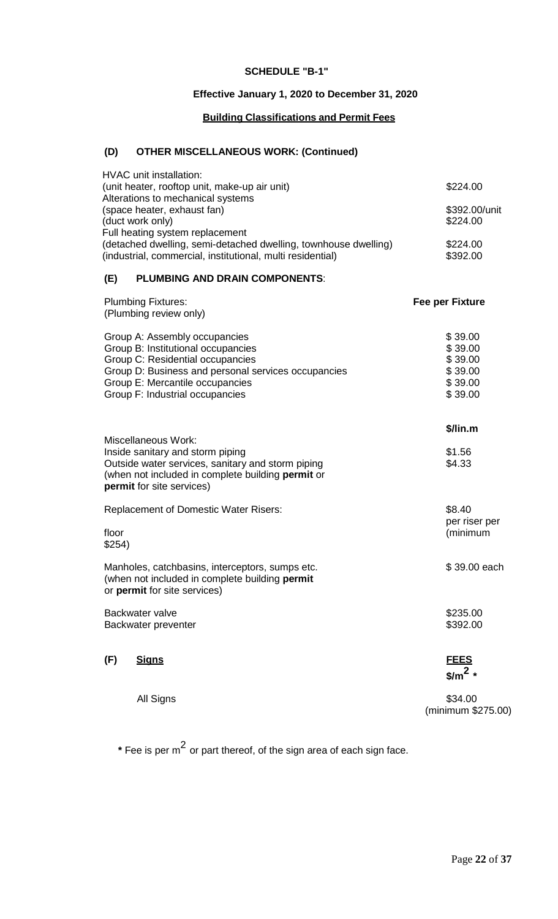## **SCHEDULE "B-1"**

## **Effective January 1, 2020 to December 31, 2020**

## **Building Classifications and Permit Fees**

# **(D) OTHER MISCELLANEOUS WORK: (Continued)**

| <b>HVAC</b> unit installation:<br>(unit heater, rooftop unit, make-up air unit)                                                                                                                                                      | \$224.00                                                       |
|--------------------------------------------------------------------------------------------------------------------------------------------------------------------------------------------------------------------------------------|----------------------------------------------------------------|
| Alterations to mechanical systems<br>(space heater, exhaust fan)<br>(duct work only)<br>Full heating system replacement                                                                                                              | \$392.00/unit<br>\$224.00                                      |
| (detached dwelling, semi-detached dwelling, townhouse dwelling)<br>(industrial, commercial, institutional, multi residential)                                                                                                        | \$224.00<br>\$392.00                                           |
| <b>PLUMBING AND DRAIN COMPONENTS:</b><br>(E)                                                                                                                                                                                         |                                                                |
| <b>Plumbing Fixtures:</b><br>(Plumbing review only)                                                                                                                                                                                  | <b>Fee per Fixture</b>                                         |
| Group A: Assembly occupancies<br>Group B: Institutional occupancies<br>Group C: Residential occupancies<br>Group D: Business and personal services occupancies<br>Group E: Mercantile occupancies<br>Group F: Industrial occupancies | \$39.00<br>\$39.00<br>\$39.00<br>\$39.00<br>\$39.00<br>\$39.00 |
| <b>Miscellaneous Work:</b><br>Inside sanitary and storm piping<br>Outside water services, sanitary and storm piping<br>(when not included in complete building permit or<br>permit for site services)                                | \$/lin.m<br>\$1.56<br>\$4.33                                   |
| <b>Replacement of Domestic Water Risers:</b><br>floor<br>\$254)                                                                                                                                                                      | \$8.40<br>per riser per<br>(minimum                            |
| Manholes, catchbasins, interceptors, sumps etc.<br>(when not included in complete building permit<br>or permit for site services)                                                                                                    | \$39.00 each                                                   |
| Backwater valve<br>Backwater preventer                                                                                                                                                                                               | \$235.00<br>\$392.00                                           |
| (F)<br><b>Signs</b>                                                                                                                                                                                                                  | <u>FEES</u><br>$\frac{\sin^2 x}{\sin^2 x}$                     |
| All Signs                                                                                                                                                                                                                            | \$34.00<br>(minimum \$275.00)                                  |

**\*** Fee is per <sup>m</sup><sup>2</sup> or part thereof, of the sign area of each sign face.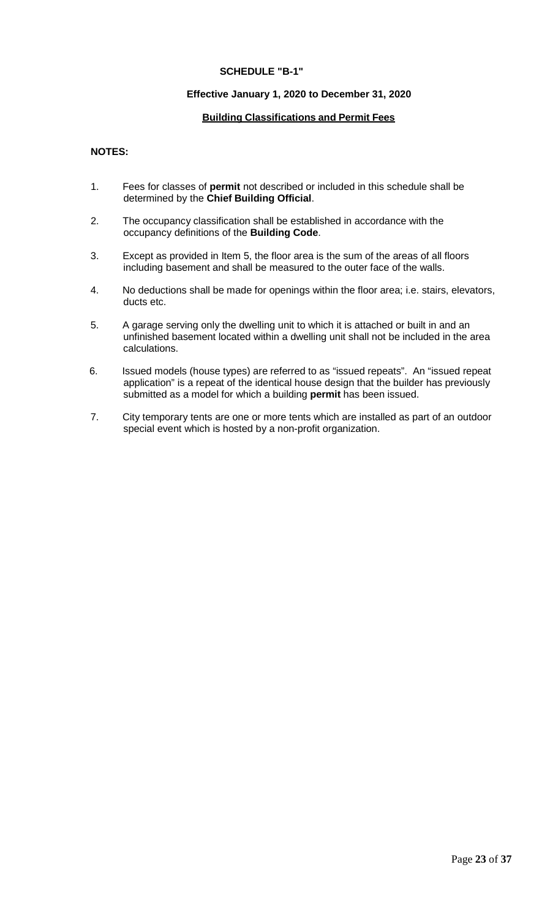## **SCHEDULE "B-1"**

## **Effective January 1, 2020 to December 31, 2020**

## **Building Classifications and Permit Fees**

## **NOTES:**

- 1. Fees for classes of **permit** not described or included in this schedule shall be determined by the **Chief Building Official**.
- 2. The occupancy classification shall be established in accordance with the occupancy definitions of the **Building Code**.
- 3. Except as provided in Item 5, the floor area is the sum of the areas of all floors including basement and shall be measured to the outer face of the walls.
- 4. No deductions shall be made for openings within the floor area; i.e. stairs, elevators, ducts etc.
- 5. A garage serving only the dwelling unit to which it is attached or built in and an unfinished basement located within a dwelling unit shall not be included in the area calculations.
- 6. Issued models (house types) are referred to as "issued repeats". An "issued repeat application" is a repeat of the identical house design that the builder has previously submitted as a model for which a building **permit** has been issued.
- 7. City temporary tents are one or more tents which are installed as part of an outdoor special event which is hosted by a non-profit organization.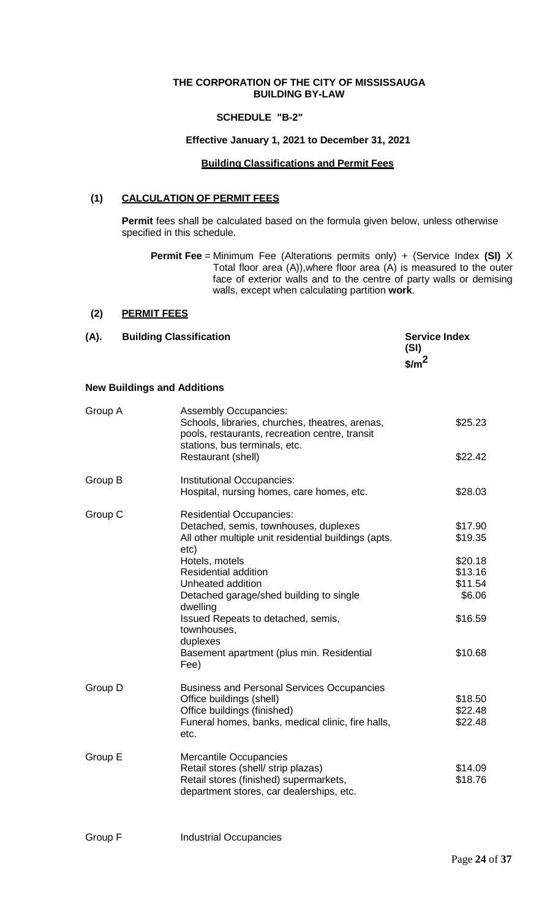## **THE CORPORATION OF THE CITY OF MISSISSAUGA BUILDING BY-LAW**

## **SCHEDULE "B-2"**

## **Effective January 1, 2021 to December 31, 2021**

## **Building Classifications and Permit Fees**

## **(1) CALCULATION OF PERMIT FEES**

**Permit** fees shall be calculated based on the formula given below, unless otherwise specified in this schedule.

**Permit Fee** = Minimum Fee (Alterations permits only) + (Service Index **(SI)** X Total floor area (A)),where floor area (A) is measured to the outer face of exterior walls and to the centre of party walls or demising walls, except when calculating partition **work**.

## **(2) PERMIT FEES**

| (A). | <b>Building Classification</b> | <b>Service Index</b><br>(SI)<br>$\frac{s}{m}$ |
|------|--------------------------------|-----------------------------------------------|
|      |                                |                                               |

## **New Buildings and Additions**

| Group A | <b>Assembly Occupancies:</b><br>Schools, libraries, churches, theatres, arenas,<br>pools, restaurants, recreation centre, transit<br>stations, bus terminals, etc.        | \$25.23                                 |
|---------|---------------------------------------------------------------------------------------------------------------------------------------------------------------------------|-----------------------------------------|
|         | Restaurant (shell)                                                                                                                                                        | \$22.42                                 |
| Group B | Institutional Occupancies:<br>Hospital, nursing homes, care homes, etc.                                                                                                   | \$28.03                                 |
| Group C | <b>Residential Occupancies:</b><br>Detached, semis, townhouses, duplexes<br>All other multiple unit residential buildings (apts.<br>etc)                                  | \$17.90<br>\$19.35                      |
|         | Hotels, motels<br><b>Residential addition</b><br>Unheated addition<br>Detached garage/shed building to single<br>dwelling                                                 | \$20.18<br>\$13.16<br>\$11.54<br>\$6.06 |
|         | Issued Repeats to detached, semis,<br>townhouses,<br>duplexes<br>Basement apartment (plus min. Residential<br>Fee)                                                        | \$16.59<br>\$10.68                      |
| Group D | <b>Business and Personal Services Occupancies</b><br>Office buildings (shell)<br>Office buildings (finished)<br>Funeral homes, banks, medical clinic, fire halls,<br>etc. | \$18.50<br>\$22.48<br>\$22.48           |
| Group E | <b>Mercantile Occupancies</b><br>Retail stores (shell/ strip plazas)<br>Retail stores (finished) supermarkets,<br>department stores, car dealerships, etc.                | \$14.09<br>\$18.76                      |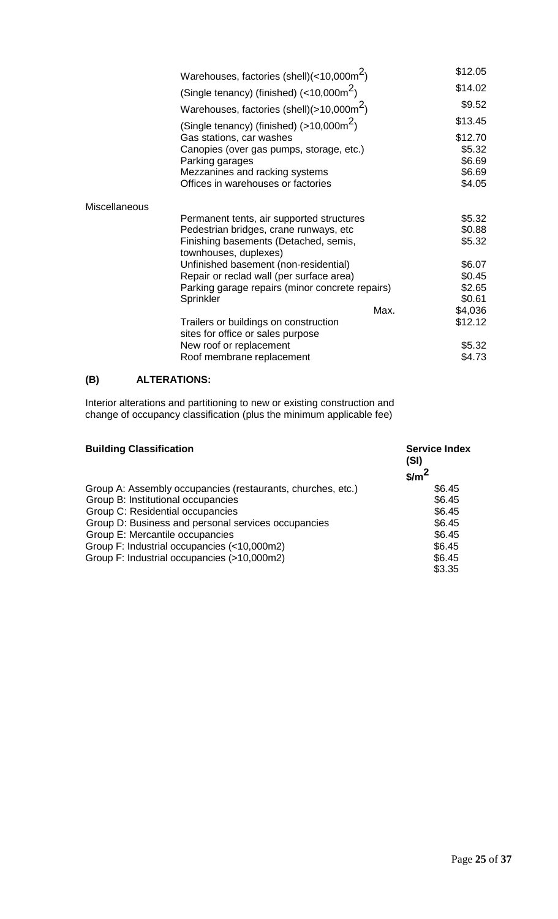|               | Warehouses, factories (shell) $\left($ <10,000m <sup>2</sup> ) |      | \$12.05          |
|---------------|----------------------------------------------------------------|------|------------------|
|               | (Single tenancy) (finished) $\left($ < 10,000m <sup>2</sup> )  |      | \$14.02          |
|               | Warehouses, factories (shell)(>10,000m <sup>2</sup> )          |      | \$9.52           |
|               | (Single tenancy) (finished) $(>10,000m^2)$                     |      | \$13.45          |
|               | Gas stations, car washes                                       |      | \$12.70          |
|               | Canopies (over gas pumps, storage, etc.)<br>Parking garages    |      | \$5.32<br>\$6.69 |
|               | Mezzanines and racking systems                                 |      | \$6.69           |
|               | Offices in warehouses or factories                             |      | \$4.05           |
| Miscellaneous |                                                                |      |                  |
|               | Permanent tents, air supported structures                      |      | \$5.32           |
|               | Pedestrian bridges, crane runways, etc                         |      | \$0.88           |
|               | Finishing basements (Detached, semis,<br>townhouses, duplexes) |      | \$5.32           |
|               | Unfinished basement (non-residential)                          |      | \$6.07           |
|               | Repair or reclad wall (per surface area)                       |      | \$0.45           |
|               | Parking garage repairs (minor concrete repairs)                |      | \$2.65           |
|               | Sprinkler                                                      |      | \$0.61           |
|               |                                                                | Max. | \$4,036          |
|               | Trailers or buildings on construction                          |      | \$12.12          |
|               | sites for office or sales purpose<br>New roof or replacement   |      | \$5.32           |
|               |                                                                |      | \$4.73           |
|               | Roof membrane replacement                                      |      |                  |

# **(B) ALTERATIONS:**

Interior alterations and partitioning to new or existing construction and change of occupancy classification (plus the minimum applicable fee)

| <b>Building Classification</b>                              | <b>Service Index</b><br>(SI)<br>$\frac{\text{S}}{\text{m}^2}$ |
|-------------------------------------------------------------|---------------------------------------------------------------|
| Group A: Assembly occupancies (restaurants, churches, etc.) | \$6.45                                                        |
| Group B: Institutional occupancies                          | \$6.45                                                        |
| Group C: Residential occupancies                            | \$6.45                                                        |
| Group D: Business and personal services occupancies         | \$6.45                                                        |
| Group E: Mercantile occupancies                             | \$6.45                                                        |
| Group F: Industrial occupancies (<10,000m2)                 | \$6.45                                                        |
| Group F: Industrial occupancies (>10,000m2)                 | \$6.45                                                        |
|                                                             | \$3.35                                                        |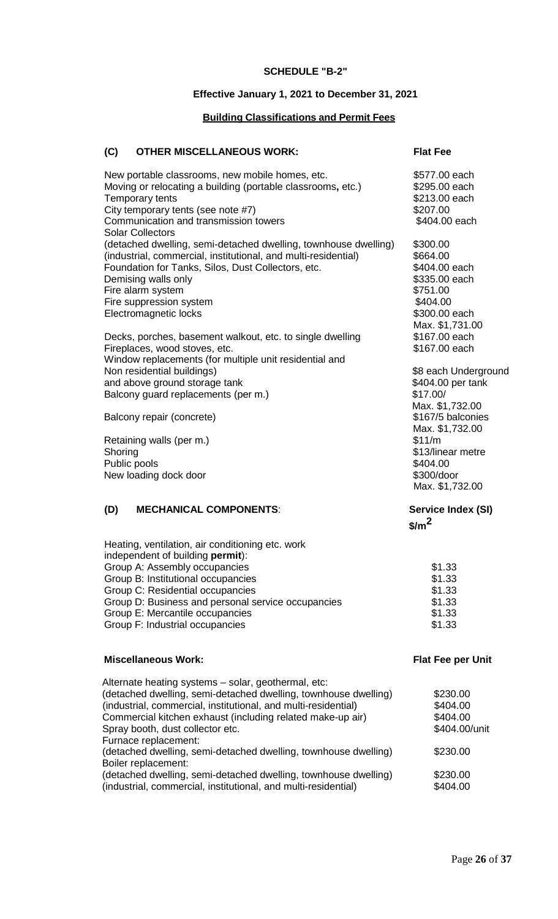#### **SCHEDULE "B-2"**

## **Effective January 1, 2021 to December 31, 2021**

## **Building Classifications and Permit Fees**

## **(C) OTHER MISCELLANEOUS WORK: Flat Fee**

| New portable classrooms, new mobile homes, etc.<br>Moving or relocating a building (portable classrooms, etc.)<br>Temporary tents<br>City temporary tents (see note #7)<br>Communication and transmission towers<br><b>Solar Collectors</b>                                             | \$577.00 each<br>\$295.00 each<br>\$213.00 each<br>\$207.00<br>\$404.00 each                    |
|-----------------------------------------------------------------------------------------------------------------------------------------------------------------------------------------------------------------------------------------------------------------------------------------|-------------------------------------------------------------------------------------------------|
| (detached dwelling, semi-detached dwelling, townhouse dwelling)<br>(industrial, commercial, institutional, and multi-residential)<br>Foundation for Tanks, Silos, Dust Collectors, etc.<br>Demising walls only<br>Fire alarm system<br>Fire suppression system<br>Electromagnetic locks | \$300.00<br>\$664.00<br>\$404.00 each<br>\$335.00 each<br>\$751.00<br>\$404.00<br>\$300.00 each |
| Decks, porches, basement walkout, etc. to single dwelling<br>Fireplaces, wood stoves, etc.<br>Window replacements (for multiple unit residential and                                                                                                                                    | Max. \$1,731.00<br>\$167.00 each<br>\$167.00 each                                               |
| Non residential buildings)<br>and above ground storage tank<br>Balcony guard replacements (per m.)                                                                                                                                                                                      | \$8 each Underground<br>\$404.00 per tank<br>\$17.00/<br>Max. \$1,732.00                        |
| Balcony repair (concrete)                                                                                                                                                                                                                                                               | \$167/5 balconies<br>Max. \$1,732.00                                                            |
| Retaining walls (per m.)<br>Shoring<br>Public pools<br>New loading dock door                                                                                                                                                                                                            | \$11/m<br>\$13/linear metre<br>\$404.00<br>\$300/door<br>Max. \$1,732.00                        |
| <b>MECHANICAL COMPONENTS:</b><br>(D)                                                                                                                                                                                                                                                    | Service Index (SI)<br>$\frac{1}{2}$                                                             |
| Heating, ventilation, air conditioning etc. work<br>independent of building permit):                                                                                                                                                                                                    |                                                                                                 |
| Group A: Assembly occupancies<br>Group B: Institutional occupancies                                                                                                                                                                                                                     | \$1.33<br>\$1.33                                                                                |
| Group C: Residential occupancies                                                                                                                                                                                                                                                        | \$1.33                                                                                          |
| Group D: Business and personal service occupancies                                                                                                                                                                                                                                      | \$1.33                                                                                          |
| Group E: Mercantile occupancies<br>Group F: Industrial occupancies                                                                                                                                                                                                                      | \$1.33<br>\$1.33                                                                                |
| <b>Miscellaneous Work:</b>                                                                                                                                                                                                                                                              | <b>Flat Fee per Unit</b>                                                                        |
| Alternate heating systems - solar, geothermal, etc:<br>(detached dwelling, semi-detached dwelling, townhouse dwelling)<br>(industrial, commercial, institutional, and multi-residential)<br>Commercial kitchen exhaust (including related make-up air)                                  | \$230.00<br>\$404.00<br>\$404.00                                                                |

Spray booth, dust collector etc.  $$404.00/unit$ 

Furnace replacement: (detached dwelling, semi-detached dwelling, townhouse dwelling) \$230.00 Boiler replacement: (detached dwelling, semi-detached dwelling, townhouse dwelling) \$230.00<br>(industrial, commercial, institutional, and multi-residential) \$404.00 (industrial, commercial, institutional, and multi-residential) \$404.00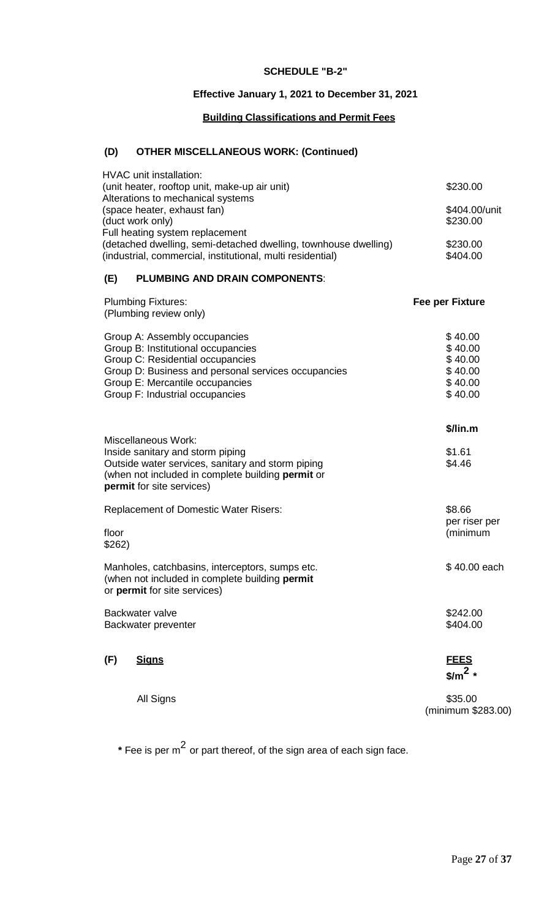## **SCHEDULE "B-2"**

## **Effective January 1, 2021 to December 31, 2021**

## **Building Classifications and Permit Fees**

# **(D) OTHER MISCELLANEOUS WORK: (Continued)**

| <b>HVAC</b> unit installation:<br>(unit heater, rooftop unit, make-up air unit)                                                                                                                                                      | \$230.00                                                       |
|--------------------------------------------------------------------------------------------------------------------------------------------------------------------------------------------------------------------------------------|----------------------------------------------------------------|
| Alterations to mechanical systems<br>(space heater, exhaust fan)<br>(duct work only)<br>Full heating system replacement                                                                                                              | \$404.00/unit<br>\$230.00                                      |
| (detached dwelling, semi-detached dwelling, townhouse dwelling)<br>(industrial, commercial, institutional, multi residential)                                                                                                        | \$230.00<br>\$404.00                                           |
| <b>PLUMBING AND DRAIN COMPONENTS:</b><br>(E)                                                                                                                                                                                         |                                                                |
| <b>Plumbing Fixtures:</b><br>(Plumbing review only)                                                                                                                                                                                  | Fee per Fixture                                                |
| Group A: Assembly occupancies<br>Group B: Institutional occupancies<br>Group C: Residential occupancies<br>Group D: Business and personal services occupancies<br>Group E: Mercantile occupancies<br>Group F: Industrial occupancies | \$40.00<br>\$40.00<br>\$40.00<br>\$40.00<br>\$40.00<br>\$40.00 |
| <b>Miscellaneous Work:</b><br>Inside sanitary and storm piping<br>Outside water services, sanitary and storm piping<br>(when not included in complete building permit or<br>permit for site services)                                | $$/$ lin.m<br>\$1.61<br>\$4.46                                 |
| <b>Replacement of Domestic Water Risers:</b><br>floor<br>\$262)                                                                                                                                                                      | \$8.66<br>per riser per<br>(minimum                            |
| Manholes, catchbasins, interceptors, sumps etc.<br>(when not included in complete building permit<br>or permit for site services)                                                                                                    | \$40.00 each                                                   |
| Backwater valve<br>Backwater preventer                                                                                                                                                                                               | \$242.00<br>\$404.00                                           |
| (F)<br><u>Signs</u>                                                                                                                                                                                                                  | <b>FEES</b><br>$\frac{\text{m}^2}{\text{m}^2}$                 |
| All Signs                                                                                                                                                                                                                            | \$35.00<br>(minimum \$283.00)                                  |

**\*** Fee is per <sup>m</sup><sup>2</sup> or part thereof, of the sign area of each sign face.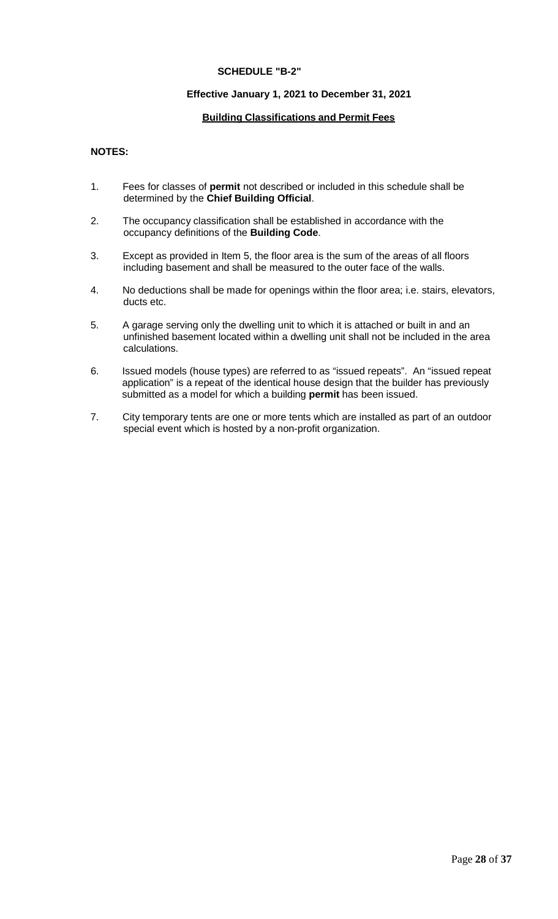#### **SCHEDULE "B-2"**

## **Effective January 1, 2021 to December 31, 2021**

## **Building Classifications and Permit Fees**

## **NOTES:**

- 1. Fees for classes of **permit** not described or included in this schedule shall be determined by the **Chief Building Official**.
- 2. The occupancy classification shall be established in accordance with the occupancy definitions of the **Building Code**.
- 3. Except as provided in Item 5, the floor area is the sum of the areas of all floors including basement and shall be measured to the outer face of the walls.
- 4. No deductions shall be made for openings within the floor area; i.e. stairs, elevators, ducts etc.
- 5. A garage serving only the dwelling unit to which it is attached or built in and an unfinished basement located within a dwelling unit shall not be included in the area calculations.
- 6. Issued models (house types) are referred to as "issued repeats". An "issued repeat application" is a repeat of the identical house design that the builder has previously submitted as a model for which a building **permit** has been issued.
- 7. City temporary tents are one or more tents which are installed as part of an outdoor special event which is hosted by a non-profit organization.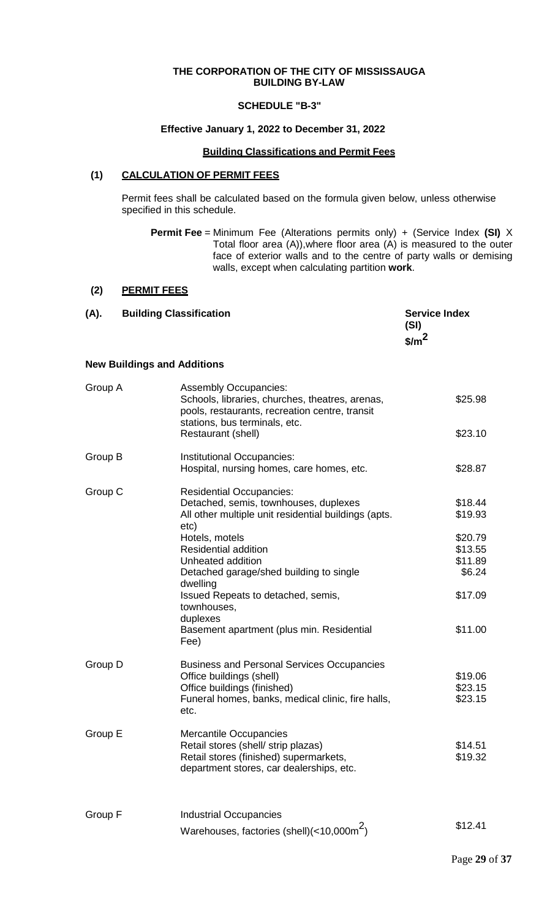## **THE CORPORATION OF THE CITY OF MISSISSAUGA BUILDING BY-LAW**

## **SCHEDULE "B-3"**

## **Effective January 1, 2022 to December 31, 2022**

#### **Building Classifications and Permit Fees**

#### **(1) CALCULATION OF PERMIT FEES**

Permit fees shall be calculated based on the formula given below, unless otherwise specified in this schedule.

**Permit Fee** = Minimum Fee (Alterations permits only) + (Service Index **(SI)** X Total floor area (A)),where floor area (A) is measured to the outer face of exterior walls and to the centre of party walls or demising walls, except when calculating partition **work**.

## **(2) PERMIT FEES**

| (A). | <b>Building Classification</b> | <b>Service Index</b>            |
|------|--------------------------------|---------------------------------|
|      |                                | (SI)                            |
|      |                                | $\frac{\text{m}^2}{\text{m}^2}$ |
|      |                                |                                 |

## **New Buildings and Additions**

| Group A | <b>Assembly Occupancies:</b><br>Schools, libraries, churches, theatres, arenas,<br>pools, restaurants, recreation centre, transit<br>stations, bus terminals, etc.<br>Restaurant (shell) | \$25.98<br>\$23.10            |
|---------|------------------------------------------------------------------------------------------------------------------------------------------------------------------------------------------|-------------------------------|
| Group B | Institutional Occupancies:                                                                                                                                                               | \$28.87                       |
|         | Hospital, nursing homes, care homes, etc.                                                                                                                                                |                               |
| Group C | <b>Residential Occupancies:</b><br>Detached, semis, townhouses, duplexes<br>All other multiple unit residential buildings (apts.<br>etc)                                                 | \$18.44<br>\$19.93            |
|         | Hotels, motels<br><b>Residential addition</b>                                                                                                                                            | \$20.79<br>\$13.55            |
|         | Unheated addition<br>Detached garage/shed building to single                                                                                                                             | \$11.89<br>\$6.24             |
|         | dwelling<br>Issued Repeats to detached, semis,<br>townhouses,<br>duplexes                                                                                                                | \$17.09                       |
|         | Basement apartment (plus min. Residential<br>Fee)                                                                                                                                        | \$11.00                       |
| Group D | <b>Business and Personal Services Occupancies</b><br>Office buildings (shell)<br>Office buildings (finished)<br>Funeral homes, banks, medical clinic, fire halls,<br>etc.                | \$19.06<br>\$23.15<br>\$23.15 |
| Group E | <b>Mercantile Occupancies</b><br>Retail stores (shell/ strip plazas)<br>Retail stores (finished) supermarkets,<br>department stores, car dealerships, etc.                               | \$14.51<br>\$19.32            |
| Group F | <b>Industrial Occupancies</b><br>Warehouses, factories (shell)(<10,000m <sup>2</sup> )                                                                                                   | \$12.41                       |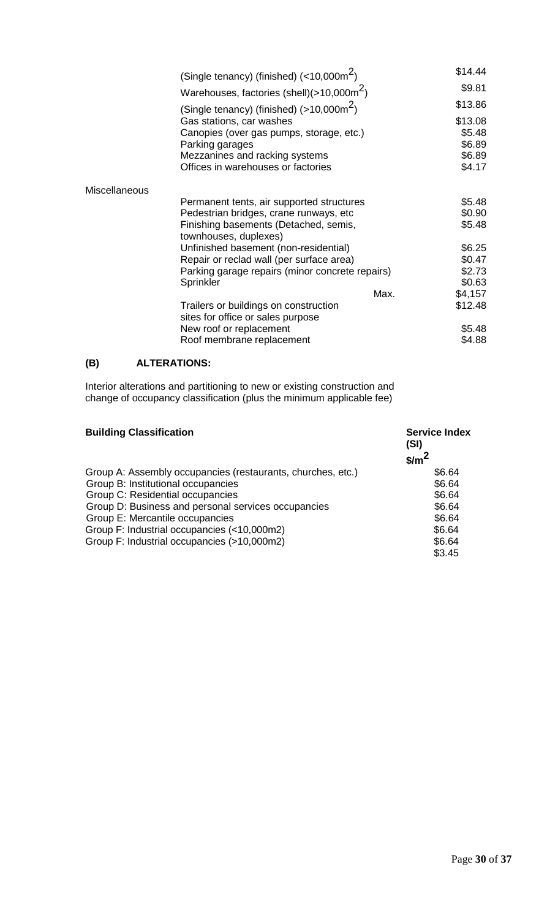|                      | (Single tenancy) (finished) $(<10,000 \text{m}^2)$                   |      | \$14.44          |
|----------------------|----------------------------------------------------------------------|------|------------------|
|                      | Warehouses, factories (shell)( $>10,000$ m <sup>2</sup> )            |      | \$9.81           |
|                      | (Single tenancy) (finished) $(>10,000m^2)$                           |      | \$13.86          |
|                      | Gas stations, car washes                                             |      | \$13.08          |
|                      | Canopies (over gas pumps, storage, etc.)                             |      | \$5.48           |
|                      | Parking garages                                                      |      | \$6.89           |
|                      | Mezzanines and racking systems<br>Offices in warehouses or factories |      | \$6.89<br>\$4.17 |
|                      |                                                                      |      |                  |
| <b>Miscellaneous</b> |                                                                      |      |                  |
|                      | Permanent tents, air supported structures                            |      | \$5.48           |
|                      | Pedestrian bridges, crane runways, etc                               |      | \$0.90           |
|                      | Finishing basements (Detached, semis,                                |      | \$5.48           |
|                      | townhouses, duplexes)                                                |      |                  |
|                      | Unfinished basement (non-residential)                                |      | \$6.25           |
|                      | Repair or reclad wall (per surface area)                             |      | \$0.47           |
|                      | Parking garage repairs (minor concrete repairs)                      |      | \$2.73           |
|                      | Sprinkler                                                            |      | \$0.63           |
|                      |                                                                      | Max. | \$4,157          |
|                      | Trailers or buildings on construction                                |      | \$12.48          |
|                      | sites for office or sales purpose                                    |      |                  |
|                      | New roof or replacement                                              |      | \$5.48           |
|                      | Roof membrane replacement                                            |      | \$4.88           |

## **(B) ALTERATIONS:**

Interior alterations and partitioning to new or existing construction and change of occupancy classification (plus the minimum applicable fee)

| <b>Building Classification</b>                              | <b>Service Index</b><br>(SI) |
|-------------------------------------------------------------|------------------------------|
|                                                             | $$/m^2$                      |
| Group A: Assembly occupancies (restaurants, churches, etc.) | \$6.64                       |
| Group B: Institutional occupancies                          | \$6.64                       |
| Group C: Residential occupancies                            | \$6.64                       |
| Group D: Business and personal services occupancies         | \$6.64                       |
| Group E: Mercantile occupancies                             | \$6.64                       |
| Group F: Industrial occupancies (<10,000m2)                 | \$6.64                       |
| Group F: Industrial occupancies (>10,000m2)                 | \$6.64                       |
|                                                             | \$3.45                       |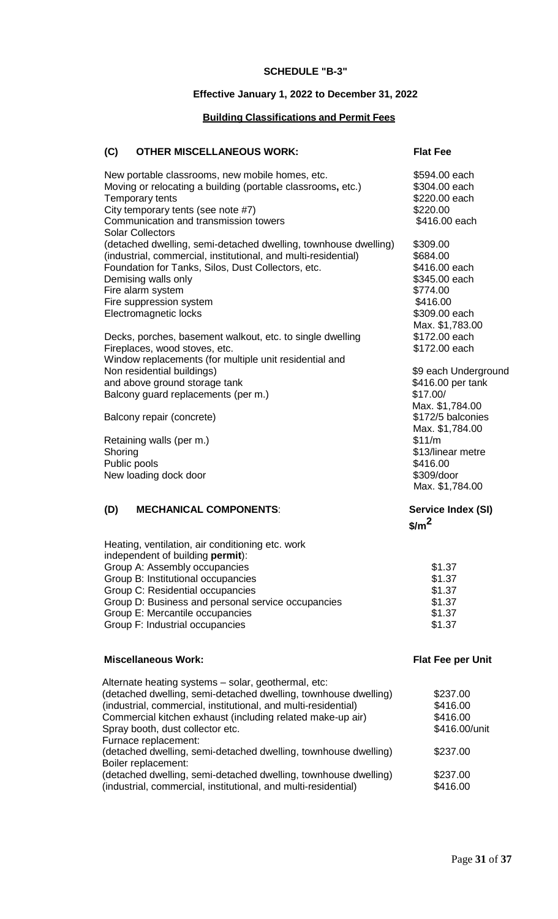#### **SCHEDULE "B-3"**

#### **Effective January 1, 2022 to December 31, 2022**

#### **Building Classifications and Permit Fees**

## **(C) OTHER MISCELLANEOUS WORK: Flat Fee**

New portable classrooms, new mobile homes, etc. \$594.00 each Moving or relocating a building (portable classrooms, etc.) \$304.00 each<br>Temporary tents \$220.00 each Temporary tents \$220.00 each City temporary tents (see note #7)<br>
Communication and transmission towers

S416.00 each

Communication and transmission towers Communication and transmission towers Solar Collectors (detached dwelling, semi-detached dwelling, townhouse dwelling) \$309.00<br>(industrial, commercial, institutional, and multi-residential) \$684.00 (industrial, commercial, institutional, and multi-residential)  $$684.00$ <br>Foundation for Tanks. Silos. Dust Collectors. etc.  $$416.00$  each Foundation for Tanks, Silos, Dust Collectors, etc.  $$416.00$  each<br>Demising walls only states and the state of the states of the states states and states states and states states states states states states states states st Demising walls only Fire alarm system  $$774.00$ <br>Fire suppression system  $$416.00$ Fire suppression system<br>
Electromagnetic locks<br>
S309.00 each Electromagnetic locks Max. \$1,783.00<br>\$172.00 each Decks, porches, basement walkout, etc. to single dwelling  $$172.00$  each<br>Fireplaces, wood stoves, etc. Fireplaces, wood stoves, etc. Window replacements (for multiple unit residential and Non residential buildings) and the state of the state of the state of the state of the state of the state of the state of the state of the state of the state of the state of the state of the state of the state of the state and above ground storage tank  $\frac{1}{2}$  and above ground storage tank Balcony guard replacements (per m.) \$17.00/ Max. \$1,784.00<br>\$172/5 balconies Balcony repair (concrete) Max. \$1,784.00 Retaining walls (per m.)  $$11/m$ Shoring \$13/linear metre<br>Public pools \$13/linear metre Public pools<br>
New loading dock door<br>
New loading dock door<br>
S309/door New loading dock door Max. \$1,784.00

## **(D) MECHANICAL COMPONENTS**: **Service Index (SI)**

**\$/m2**

| Heating, ventilation, air conditioning etc. work   |        |
|----------------------------------------------------|--------|
| independent of building <b>permit</b> ):           |        |
| Group A: Assembly occupancies                      | \$1.37 |
| Group B: Institutional occupancies                 | \$1.37 |
| Group C: Residential occupancies                   | \$1.37 |
| Group D: Business and personal service occupancies | \$1.37 |
| Group E: Mercantile occupancies                    | \$1.37 |
| Group F: Industrial occupancies                    | \$1.37 |
|                                                    |        |

#### **Miscellaneous Work: Flat Fee per Unit**

| Alternate heating systems – solar, geothermal, etc:             |               |
|-----------------------------------------------------------------|---------------|
| (detached dwelling, semi-detached dwelling, townhouse dwelling) | \$237.00      |
| (industrial, commercial, institutional, and multi-residential)  | \$416.00      |
| Commercial kitchen exhaust (including related make-up air)      | \$416.00      |
| Spray booth, dust collector etc.                                | \$416.00/unit |
| Furnace replacement:                                            |               |
| (detached dwelling, semi-detached dwelling, townhouse dwelling) | \$237.00      |
| Boiler replacement:                                             |               |
| (detached dwelling, semi-detached dwelling, townhouse dwelling) | \$237.00      |
| (industrial, commercial, institutional, and multi-residential)  | \$416.00      |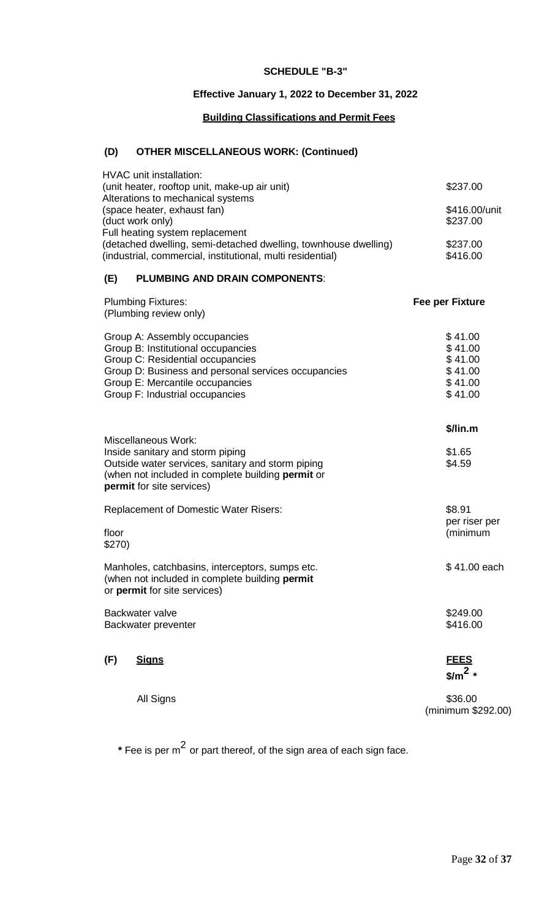## **SCHEDULE "B-3"**

## **Effective January 1, 2022 to December 31, 2022**

## **Building Classifications and Permit Fees**

# **(D) OTHER MISCELLANEOUS WORK: (Continued)**

| <b>HVAC</b> unit installation:<br>(unit heater, rooftop unit, make-up air unit)                                                                                                                                                      | \$237.00                                                       |
|--------------------------------------------------------------------------------------------------------------------------------------------------------------------------------------------------------------------------------------|----------------------------------------------------------------|
| Alterations to mechanical systems<br>(space heater, exhaust fan)<br>(duct work only)<br>Full heating system replacement                                                                                                              | \$416.00/unit<br>\$237.00                                      |
| (detached dwelling, semi-detached dwelling, townhouse dwelling)<br>(industrial, commercial, institutional, multi residential)                                                                                                        | \$237.00<br>\$416.00                                           |
| <b>PLUMBING AND DRAIN COMPONENTS:</b><br>(E)                                                                                                                                                                                         |                                                                |
| <b>Plumbing Fixtures:</b><br>(Plumbing review only)                                                                                                                                                                                  | <b>Fee per Fixture</b>                                         |
| Group A: Assembly occupancies<br>Group B: Institutional occupancies<br>Group C: Residential occupancies<br>Group D: Business and personal services occupancies<br>Group E: Mercantile occupancies<br>Group F: Industrial occupancies | \$41.00<br>\$41.00<br>\$41.00<br>\$41.00<br>\$41.00<br>\$41.00 |
| <b>Miscellaneous Work:</b><br>Inside sanitary and storm piping<br>Outside water services, sanitary and storm piping<br>(when not included in complete building permit or<br>permit for site services)                                | $$/$ lin.m<br>\$1.65<br>\$4.59                                 |
| <b>Replacement of Domestic Water Risers:</b><br>floor<br>\$270)                                                                                                                                                                      | \$8.91<br>per riser per<br>(minimum                            |
| Manholes, catchbasins, interceptors, sumps etc.<br>(when not included in complete building permit<br>or permit for site services)                                                                                                    | \$41.00 each                                                   |
| Backwater valve<br>Backwater preventer                                                                                                                                                                                               | \$249.00<br>\$416.00                                           |
| (F)<br><u>Signs</u>                                                                                                                                                                                                                  | <b>FEES</b><br>$\frac{\sin^2 x}{\sin^2 x}$                     |
| All Signs                                                                                                                                                                                                                            | \$36.00<br>(minimum \$292.00)                                  |

**\*** Fee is per <sup>m</sup><sup>2</sup> or part thereof, of the sign area of each sign face.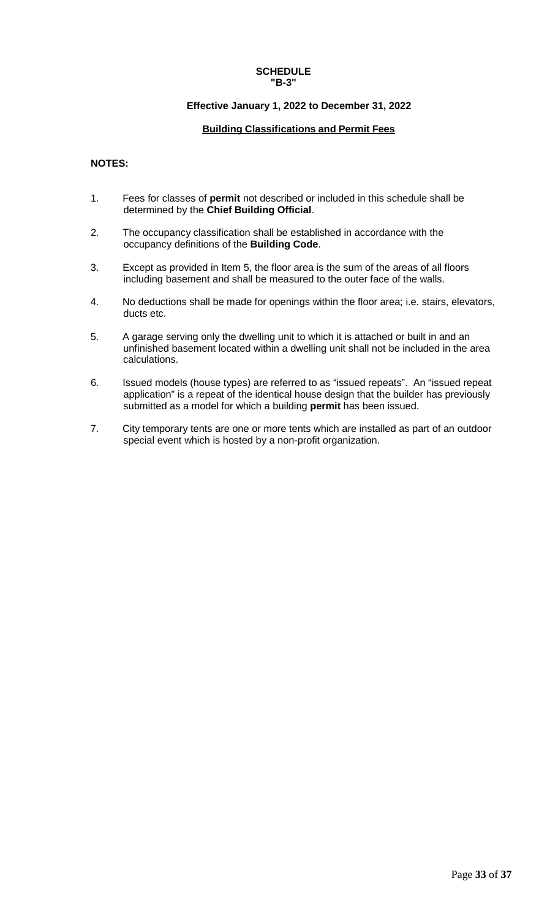#### **SCHEDULE "B-3"**

## **Effective January 1, 2022 to December 31, 2022**

## **Building Classifications and Permit Fees**

## **NOTES:**

- 1. Fees for classes of **permit** not described or included in this schedule shall be determined by the **Chief Building Official**.
- 2. The occupancy classification shall be established in accordance with the occupancy definitions of the **Building Code**.
- 3. Except as provided in Item 5, the floor area is the sum of the areas of all floors including basement and shall be measured to the outer face of the walls.
- 4. No deductions shall be made for openings within the floor area; i.e. stairs, elevators, ducts etc.
- 5. A garage serving only the dwelling unit to which it is attached or built in and an unfinished basement located within a dwelling unit shall not be included in the area calculations.
- 6. Issued models (house types) are referred to as "issued repeats". An "issued repeat application" is a repeat of the identical house design that the builder has previously submitted as a model for which a building **permit** has been issued.
- 7. City temporary tents are one or more tents which are installed as part of an outdoor special event which is hosted by a non-profit organization.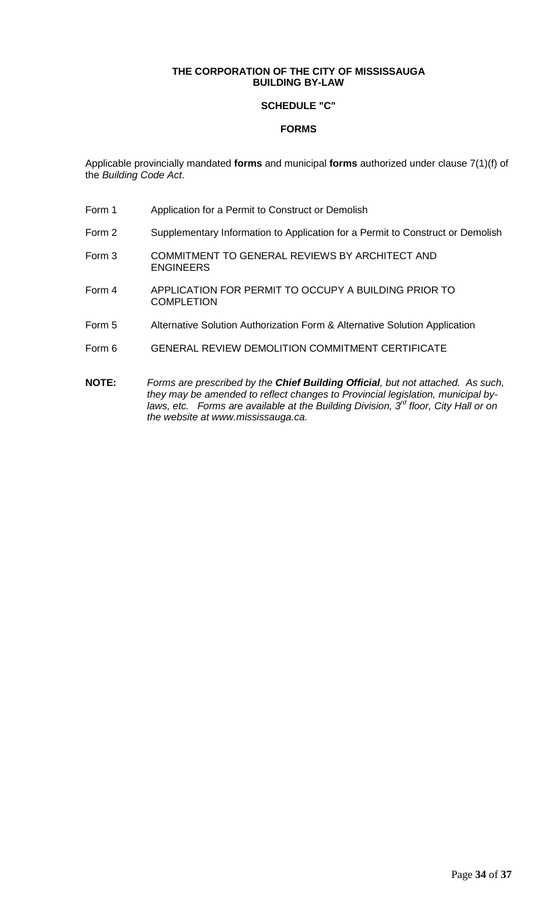## **THE CORPORATION OF THE CITY OF MISSISSAUGA BUILDING BY-LAW**

## **SCHEDULE "C"**

## **FORMS**

Applicable provincially mandated **forms** and municipal **forms** authorized under clause 7(1)(f) of the *Building Code Act*.

- Form 1 Application for a Permit to Construct or Demolish
- Form 2 Supplementary Information to Application for a Permit to Construct or Demolish
- Form 3 COMMITMENT TO GENERAL REVIEWS BY ARCHITECT AND ENGINEERS
- Form 4 APPLICATION FOR PERMIT TO OCCUPY A BUILDING PRIOR TO **COMPLETION**
- Form 5 Alternative Solution Authorization Form & Alternative Solution Application
- Form 6 GENERAL REVIEW DEMOLITION COMMITMENT CERTIFICATE
- **NOTE:** *Forms are prescribed by the Chief Building Official, but not attached. As such, they may be amended to reflect changes to Provincial legislation, municipal bylaws, etc. Forms are available at the Building Division, 3rd floor, City Hall or on the website at www.mississauga.ca.*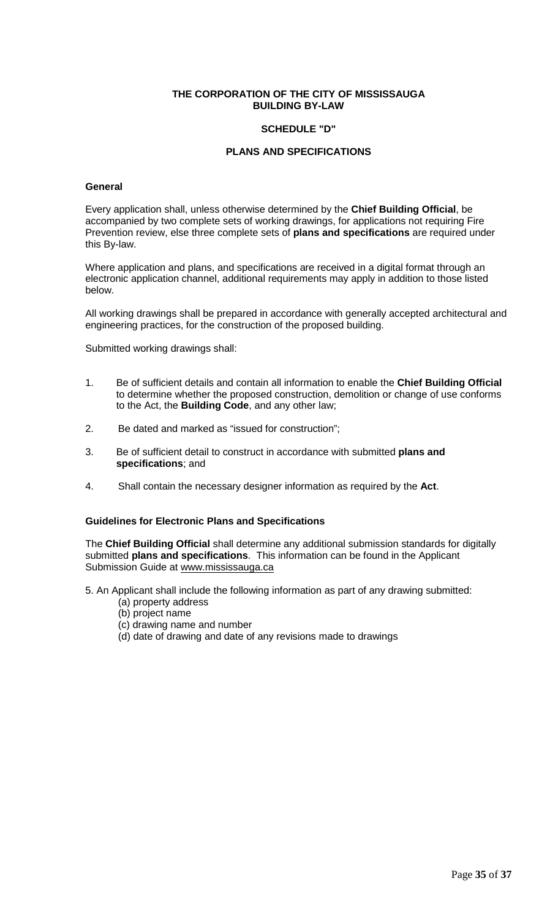## **THE CORPORATION OF THE CITY OF MISSISSAUGA BUILDING BY-LAW**

## **SCHEDULE "D"**

## **PLANS AND SPECIFICATIONS**

#### **General**

Every application shall, unless otherwise determined by the **Chief Building Official**, be accompanied by two complete sets of working drawings, for applications not requiring Fire Prevention review, else three complete sets of **plans and specifications** are required under this By-law.

Where application and plans, and specifications are received in a digital format through an electronic application channel, additional requirements may apply in addition to those listed below.

All working drawings shall be prepared in accordance with generally accepted architectural and engineering practices, for the construction of the proposed building.

Submitted working drawings shall:

- 1. Be of sufficient details and contain all information to enable the **Chief Building Official** to determine whether the proposed construction, demolition or change of use conforms to the Act, the **Building Code**, and any other law;
- 2. Be dated and marked as "issued for construction";
- 3. Be of sufficient detail to construct in accordance with submitted **plans and specifications**; and
- 4. Shall contain the necessary designer information as required by the **Act**.

#### **Guidelines for Electronic Plans and Specifications**

The **Chief Building Official** shall determine any additional submission standards for digitally submitted **plans and specifications**. This information can be found in the Applicant Submission Guide at www.mississauga.ca

- 5. An Applicant shall include the following information as part of any drawing submitted:
	- (a) property address
	- (b) project name
	- (c) drawing name and number
	- (d) date of drawing and date of any revisions made to drawings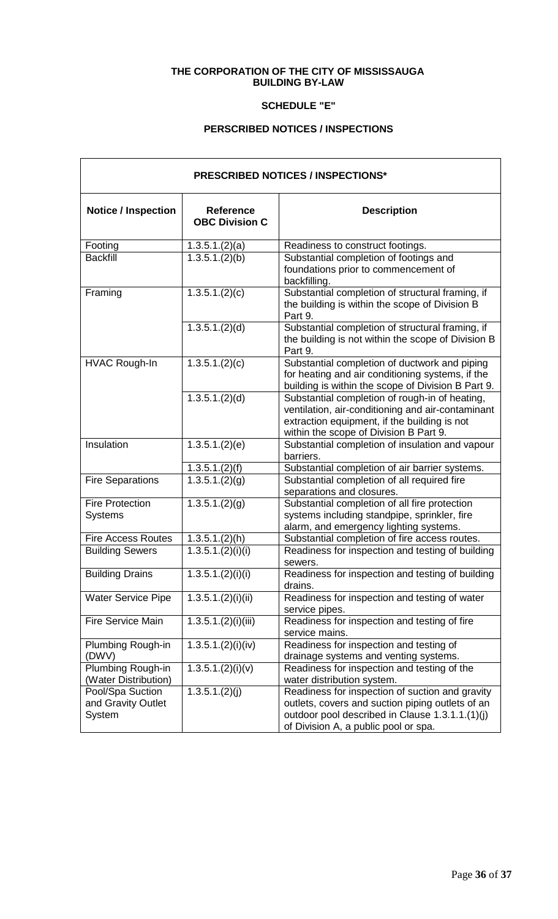## **THE CORPORATION OF THE CITY OF MISSISSAUGA BUILDING BY-LAW**

## **SCHEDULE "E"**

## **PERSCRIBED NOTICES / INSPECTIONS**

| <b>PRESCRIBED NOTICES / INSPECTIONS*</b>         |                                           |                                                                                                                                                                                                |  |
|--------------------------------------------------|-------------------------------------------|------------------------------------------------------------------------------------------------------------------------------------------------------------------------------------------------|--|
| <b>Notice / Inspection</b>                       | <b>Reference</b><br><b>OBC Division C</b> | <b>Description</b>                                                                                                                                                                             |  |
| Footing                                          | 1.3.5.1(2)(a)                             | Readiness to construct footings.                                                                                                                                                               |  |
| <b>Backfill</b>                                  | 1.3.5.1.(2)(b)                            | Substantial completion of footings and<br>foundations prior to commencement of<br>backfilling.                                                                                                 |  |
| Framing                                          | 1.3.5.1.(2)(c)                            | Substantial completion of structural framing, if<br>the building is within the scope of Division B<br>Part 9.                                                                                  |  |
|                                                  | 1.3.5.1.(2)(d)                            | Substantial completion of structural framing, if<br>the building is not within the scope of Division B<br>Part 9.                                                                              |  |
| <b>HVAC Rough-In</b>                             | 1.3.5.1.(2)(c)                            | Substantial completion of ductwork and piping<br>for heating and air conditioning systems, if the<br>building is within the scope of Division B Part 9.                                        |  |
|                                                  | 1.3.5.1.(2)(d)                            | Substantial completion of rough-in of heating,<br>ventilation, air-conditioning and air-contaminant<br>extraction equipment, if the building is not<br>within the scope of Division B Part 9.  |  |
| Insulation                                       | 1.3.5.1.(2)(e)                            | Substantial completion of insulation and vapour<br>barriers.                                                                                                                                   |  |
|                                                  | 1.3.5.1.(2)(f)                            | Substantial completion of air barrier systems.                                                                                                                                                 |  |
| <b>Fire Separations</b>                          | 1.3.5.1.(2)(g)                            | Substantial completion of all required fire<br>separations and closures.                                                                                                                       |  |
| <b>Fire Protection</b><br><b>Systems</b>         | 1.3.5.1.(2)(g)                            | Substantial completion of all fire protection<br>systems including standpipe, sprinkler, fire<br>alarm, and emergency lighting systems.                                                        |  |
| <b>Fire Access Routes</b>                        | 1.3.5.1.(2)(h)                            | Substantial completion of fire access routes.                                                                                                                                                  |  |
| <b>Building Sewers</b>                           | 1.3.5.1.(2)(i)(i)                         | Readiness for inspection and testing of building<br>sewers.                                                                                                                                    |  |
| <b>Building Drains</b>                           | 1.3.5.1.(2)(i)(i)                         | Readiness for inspection and testing of building<br>drains.                                                                                                                                    |  |
| <b>Water Service Pipe</b>                        | 1.3.5.1.(2)(i)(ii)                        | Readiness for inspection and testing of water<br>service pipes.                                                                                                                                |  |
| Fire Service Main                                | 1.3.5.1.(2)(i)(iii)                       | Readiness for inspection and testing of fire<br>service mains.                                                                                                                                 |  |
| Plumbing Rough-in<br>(DWV)                       | 1.3.5.1.(2)(i)(iv)                        | Readiness for inspection and testing of<br>drainage systems and venting systems.                                                                                                               |  |
| Plumbing Rough-in<br>(Water Distribution)        | 1.3.5.1.(2)(i)(v)                         | Readiness for inspection and testing of the<br>water distribution system.                                                                                                                      |  |
| Pool/Spa Suction<br>and Gravity Outlet<br>System | 1.3.5.1.(2)(j)                            | Readiness for inspection of suction and gravity<br>outlets, covers and suction piping outlets of an<br>outdoor pool described in Clause 1.3.1.1.(1)(j)<br>of Division A, a public pool or spa. |  |